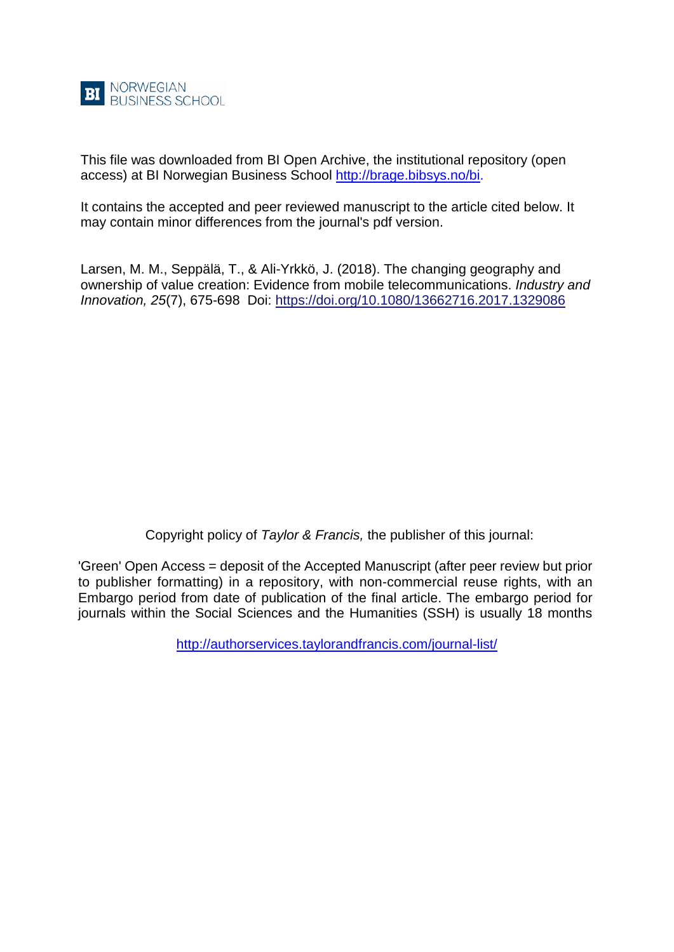

This file was downloaded from BI Open Archive, the institutional repository (open access) at BI Norwegian Business School [http://brage.bibsys.no/bi.](http://brage.bibsys.no/bi)

It contains the accepted and peer reviewed manuscript to the article cited below. It may contain minor differences from the journal's pdf version.

Larsen, M. M., Seppälä, T., & Ali-Yrkkö, J. (2018). The changing geography and ownership of value creation: Evidence from mobile telecommunications. *Industry and Innovation, 25*(7), 675-698 Doi:<https://doi.org/10.1080/13662716.2017.1329086>

Copyright policy of *Taylor & Francis,* the publisher of this journal:

'Green' Open Access = deposit of the Accepted Manuscript (after peer review but prior to publisher formatting) in a repository, with non-commercial reuse rights, with an Embargo period from date of publication of the final article. The embargo period for journals within the Social Sciences and the Humanities (SSH) is usually 18 months

<http://authorservices.taylorandfrancis.com/journal-list/>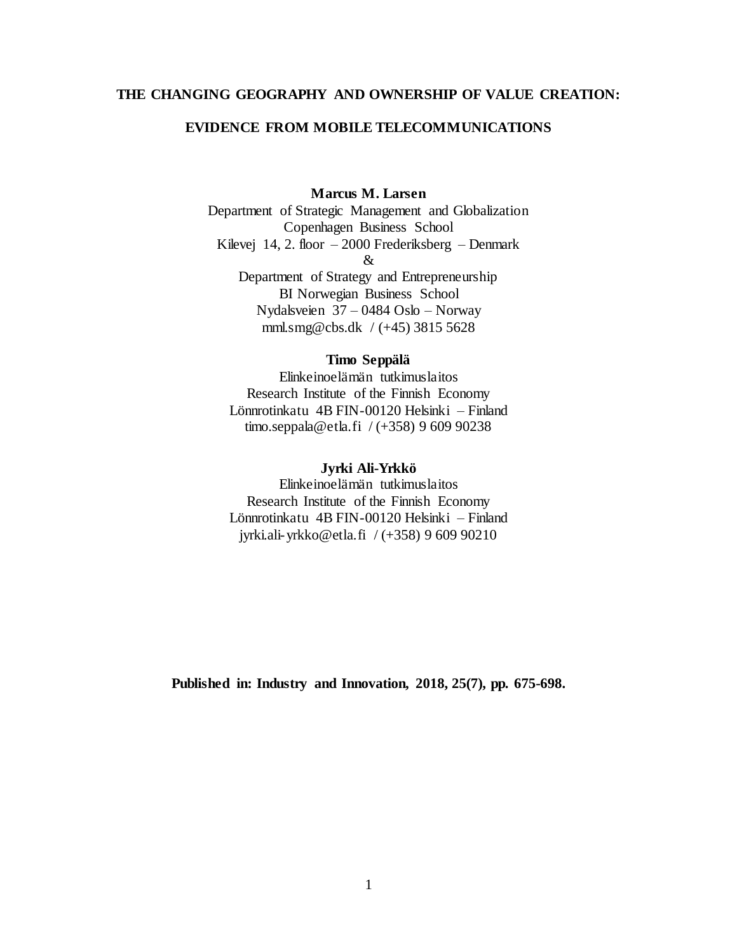# **THE CHANGING GEOGRAPHY AND OWNERSHIP OF VALUE CREATION:**

# **EVIDENCE FROM MOBILE TELECOMMUNICATIONS**

# **Marcus M. Larsen**

Department of Strategic Management and Globalization Copenhagen Business School Kilevej 14, 2. floor – 2000 Frederiksberg – Denmark & Department of Strategy and Entrepreneurship BI Norwegian Business School

Nydalsveien 37 – 0484 Oslo – Norway mml.smg@cbs.dk / (+45) 3815 5628

# **Timo Seppälä**

Elinkeinoelämän tutkimuslaitos Research Institute of the Finnish Economy Lönnrotinkatu 4B FIN-00120 Helsinki – Finland timo.seppala@etla.fi / (+358) 9 609 90238

# **Jyrki Ali-Yrkkö**

Elinkeinoelämän tutkimuslaitos Research Institute of the Finnish Economy Lönnrotinkatu 4B FIN-00120 Helsinki – Finland jyrki.ali-yrkko@etla.fi / (+358) 9 609 90210

**Published in: Industry and Innovation, 2018, 25(7), pp. 675-698.**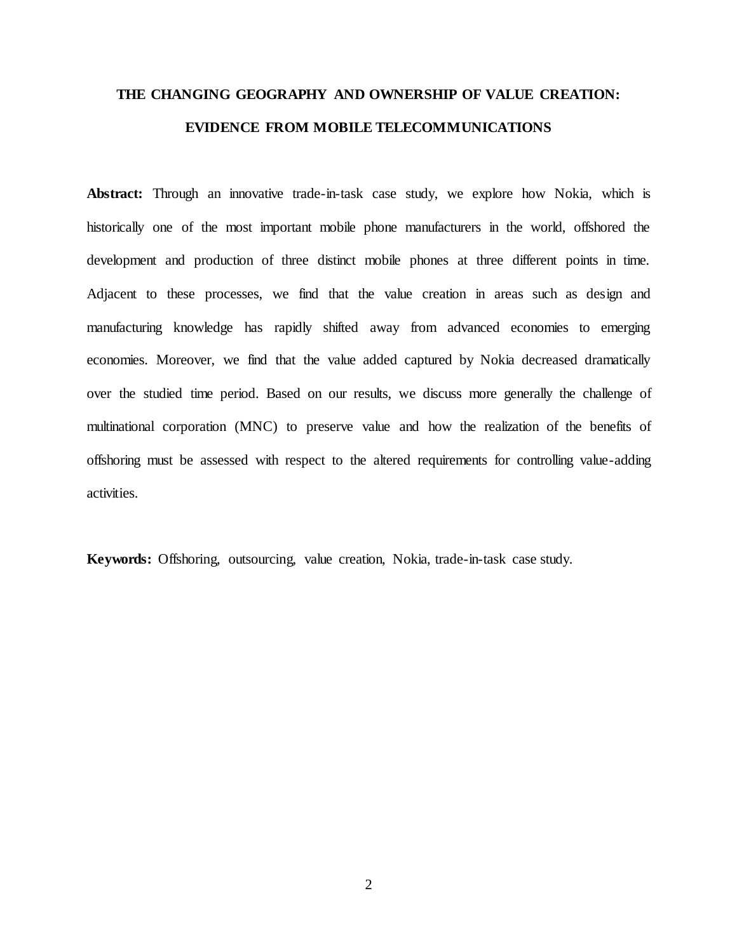# **THE CHANGING GEOGRAPHY AND OWNERSHIP OF VALUE CREATION: EVIDENCE FROM MOBILE TELECOMMUNICATIONS**

**Abstract:** Through an innovative trade-in-task case study, we explore how Nokia, which is historically one of the most important mobile phone manufacturers in the world, offshored the development and production of three distinct mobile phones at three different points in time. Adjacent to these processes, we find that the value creation in areas such as design and manufacturing knowledge has rapidly shifted away from advanced economies to emerging economies. Moreover, we find that the value added captured by Nokia decreased dramatically over the studied time period. Based on our results, we discuss more generally the challenge of multinational corporation (MNC) to preserve value and how the realization of the benefits of offshoring must be assessed with respect to the altered requirements for controlling value-adding activities.

**Keywords:** Offshoring, outsourcing, value creation, Nokia, trade-in-task case study.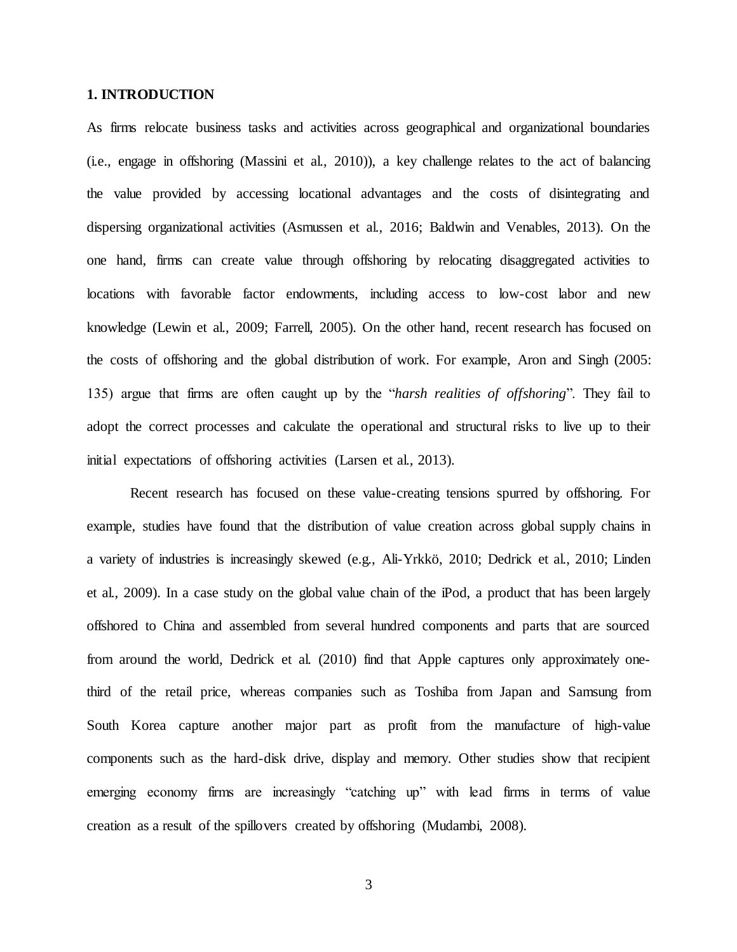#### **1. INTRODUCTION**

As firms relocate business tasks and activities across geographical and organizational boundaries (i.e., engage in offshoring (Massini et al.,  $2010$ )), a key challenge relates to the act of balancing the value provided by accessing locational advantages and the costs of disintegrating and dispersing organizational activities (Asmussen et al., 2016; Baldwin and Venables, 2013). On the one hand, firms can create value through offshoring by relocating disaggregated activities to locations with favorable factor endowments, including access to low-cost labor and new knowledge (Lewin et al., 2009; Farrell, 2005). On the other hand, recent research has focused on the costs of offshoring and the global distribution of work. For example, Aron and Singh (2005: 135) argue that firms are often caught up by the "*harsh realities of offshoring*". They fail to adopt the correct processes and calculate the operational and structural risks to live up to their initial expectations of offshoring activities (Larsen et al., 2013).

Recent research has focused on these value-creating tensions spurred by offshoring. For example, studies have found that the distribution of value creation across global supply chains in a variety of industries is increasingly skewed (e.g., Ali-Yrkkö, 2010; Dedrick et al., 2010; Linden et al., 2009). In a case study on the global value chain of the iPod, a product that has been largely offshored to China and assembled from several hundred components and parts that are sourced from around the world, Dedrick et al. (2010) find that Apple captures only approximately onethird of the retail price, whereas companies such as Toshiba from Japan and Samsung from South Korea capture another major part as profit from the manufacture of high-value components such as the hard-disk drive, display and memory. Other studies show that recipient emerging economy firms are increasingly "catching up" with lead firms in terms of value creation as a result of the spillovers created by offshoring (Mudambi, 2008).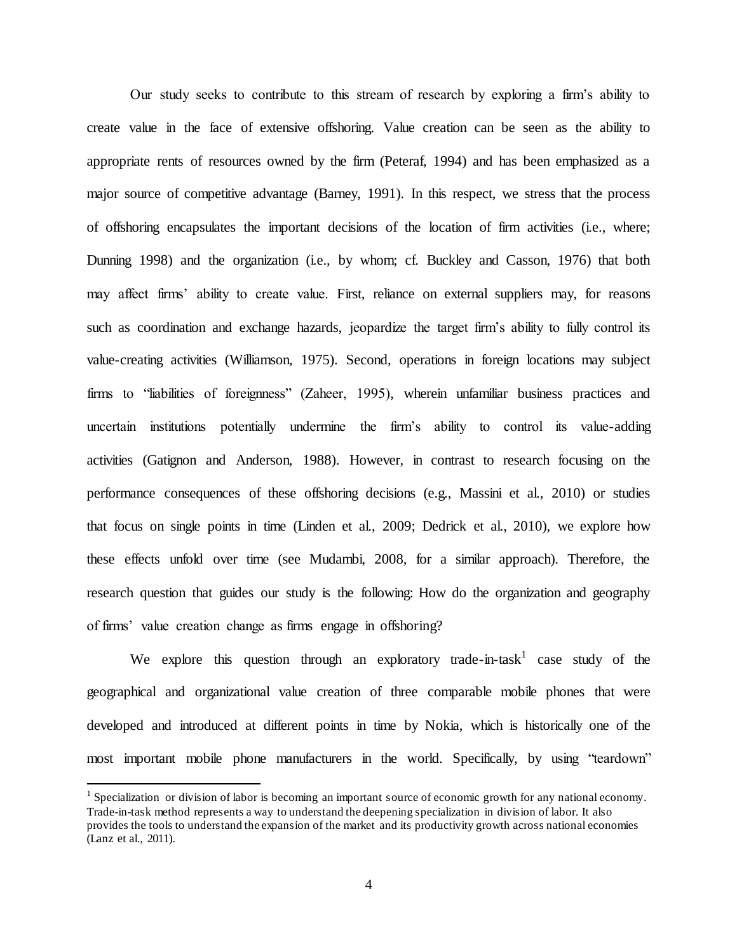Our study seeks to contribute to this stream of research by exploring a firm's ability to create value in the face of extensive offshoring. Value creation can be seen as the ability to appropriate rents of resources owned by the firm (Peteraf, 1994) and has been emphasized as a major source of competitive advantage (Barney, 1991). In this respect, we stress that the process of offshoring encapsulates the important decisions of the location of firm activities (i.e., where; Dunning 1998) and the organization (i.e., by whom; cf. Buckley and Casson, 1976) that both may affect firms' ability to create value. First, reliance on external suppliers may, for reasons such as coordination and exchange hazards, jeopardize the target firm's ability to fully control its value-creating activities (Williamson, 1975). Second, operations in foreign locations may subject firms to "liabilities of foreignness" (Zaheer, 1995), wherein unfamiliar business practices and uncertain institutions potentially undermine the firm's ability to control its value-adding activities (Gatignon and Anderson, 1988). However, in contrast to research focusing on the performance consequences of these offshoring decisions (e.g., Massini et al., 2010) or studies that focus on single points in time (Linden et al., 2009; Dedrick et al., 2010), we explore how these effects unfold over time (see Mudambi, 2008, for a similar approach). Therefore, the research question that guides our study is the following: How do the organization and geography of firms' value creation change as firms engage in offshoring?

We explore this question through an exploratory trade-in-task case study of the geographical and organizational value creation of three comparable mobile phones that were developed and introduced at different points in time by Nokia, which is historically one of the most important mobile phone manufacturers in the world. Specifically, by using "teardown"

<sup>&</sup>lt;sup>1</sup> Specialization or division of labor is becoming an important source of economic growth for any national economy. Trade-in-task method represents a way to understand the deepening specialization in division of labor. It also provides the tools to understand the expansion of the market and its productivity growth across national economies (Lanz et al., 2011).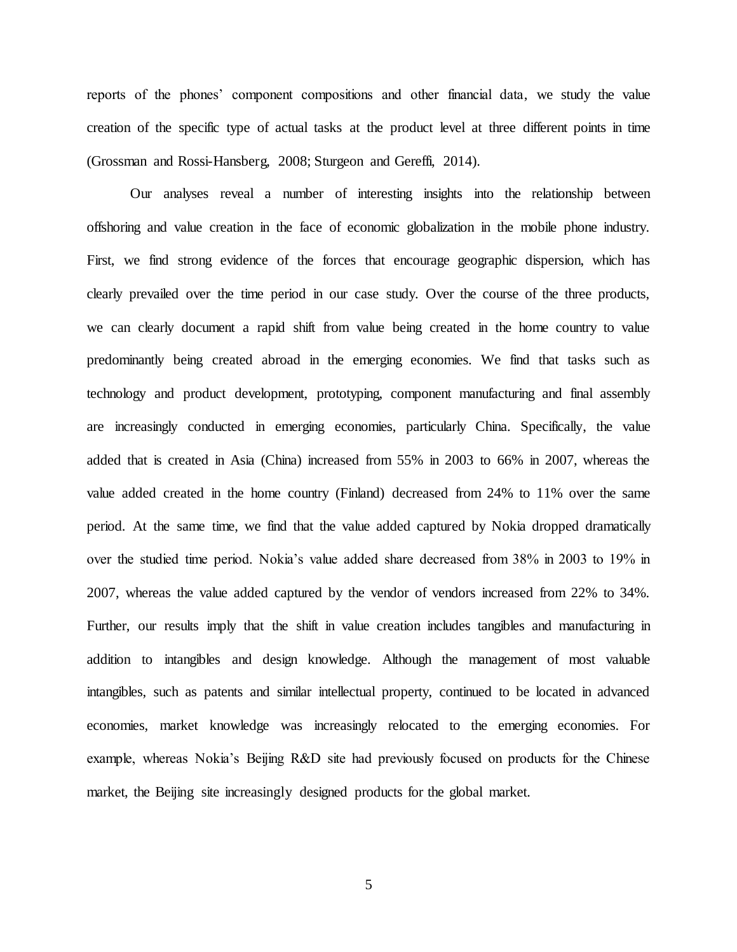reports of the phones' component compositions and other financial data, we study the value creation of the specific type of actual tasks at the product level at three different points in time (Grossman and Rossi-Hansberg, 2008; Sturgeon and Gereffi, 2014).

Our analyses reveal a number of interesting insights into the relationship between offshoring and value creation in the face of economic globalization in the mobile phone industry. First, we find strong evidence of the forces that encourage geographic dispersion, which has clearly prevailed over the time period in our case study. Over the course of the three products, we can clearly document a rapid shift from value being created in the home country to value predominantly being created abroad in the emerging economies. We find that tasks such as technology and product development, prototyping, component manufacturing and final assembly are increasingly conducted in emerging economies, particularly China. Specifically, the value added that is created in Asia (China) increased from 55% in 2003 to 66% in 2007, whereas the value added created in the home country (Finland) decreased from 24% to 11% over the same period. At the same time, we find that the value added captured by Nokia dropped dramatically over the studied time period. Nokia's value added share decreased from 38% in 2003 to 19% in 2007, whereas the value added captured by the vendor of vendors increased from 22% to 34%. Further, our results imply that the shift in value creation includes tangibles and manufacturing in addition to intangibles and design knowledge. Although the management of most valuable intangibles, such as patents and similar intellectual property, continued to be located in advanced economies, market knowledge was increasingly relocated to the emerging economies. For example, whereas Nokia's Beijing R&D site had previously focused on products for the Chinese market, the Beijing site increasingly designed products for the global market.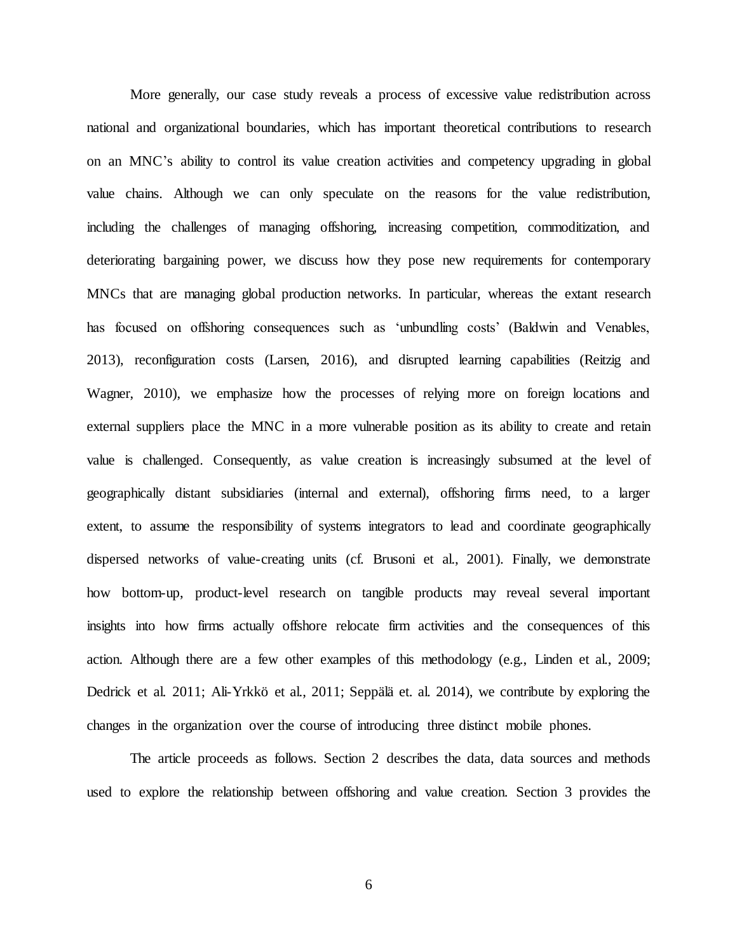More generally, our case study reveals a process of excessive value redistribution across national and organizational boundaries, which has important theoretical contributions to research on an MNC's ability to control its value creation activities and competency upgrading in global value chains. Although we can only speculate on the reasons for the value redistribution, including the challenges of managing offshoring, increasing competition, commoditization, and deteriorating bargaining power, we discuss how they pose new requirements for contemporary MNCs that are managing global production networks. In particular, whereas the extant research has focused on offshoring consequences such as 'unbundling costs' (Baldwin and Venables, 2013), reconfiguration costs (Larsen, 2016), and disrupted learning capabilities (Reitzig and Wagner, 2010), we emphasize how the processes of relying more on foreign locations and external suppliers place the MNC in a more vulnerable position as its ability to create and retain value is challenged. Consequently, as value creation is increasingly subsumed at the level of geographically distant subsidiaries (internal and external), offshoring firms need, to a larger extent, to assume the responsibility of systems integrators to lead and coordinate geographically dispersed networks of value-creating units (cf. Brusoni et al., 2001). Finally, we demonstrate how bottom-up, product-level research on tangible products may reveal several important insights into how firms actually offshore relocate firm activities and the consequences of this action. Although there are a few other examples of this methodology (e.g., Linden et al., 2009; Dedrick et al. 2011; Ali-Yrkkö et al., 2011; Seppälä et. al. 2014), we contribute by exploring the changes in the organization over the course of introducing three distinct mobile phones.

The article proceeds as follows. Section 2 describes the data, data sources and methods used to explore the relationship between offshoring and value creation. Section 3 provides the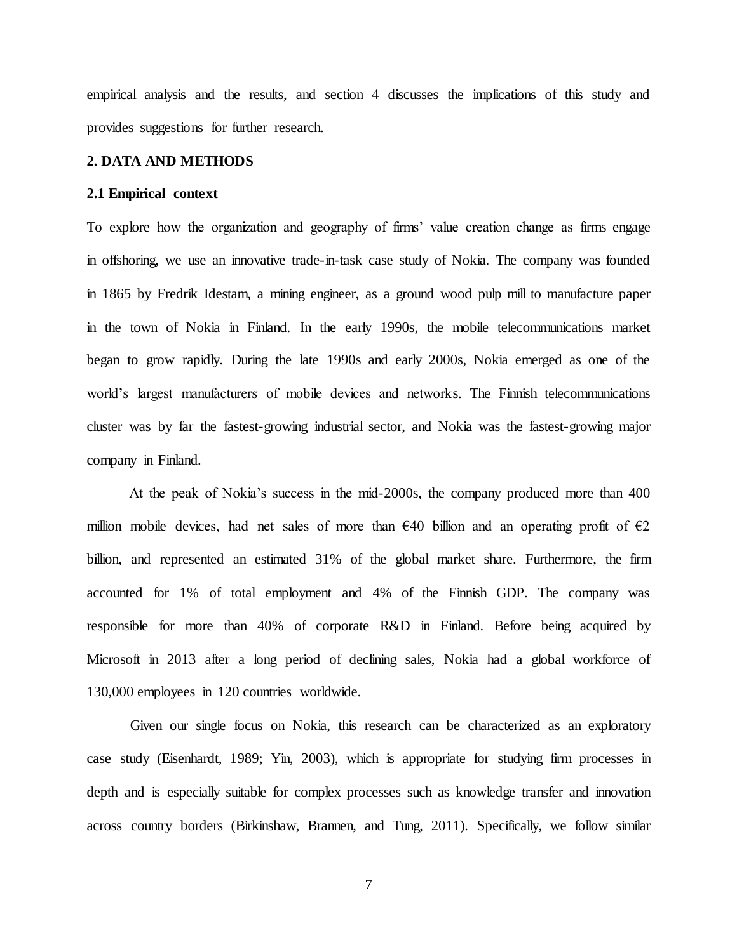empirical analysis and the results, and section 4 discusses the implications of this study and provides suggestions for further research.

# **2. DATA AND METHODS**

#### **2.1 Empirical context**

To explore how the organization and geography of firms' value creation change as firms engage in offshoring, we use an innovative trade-in-task case study of Nokia. The company was founded in 1865 by Fredrik Idestam, a mining engineer, as a ground wood pulp mill to manufacture paper in the town of Nokia in Finland. In the early 1990s, the mobile telecommunications market began to grow rapidly. During the late 1990s and early 2000s, Nokia emerged as one of the world's largest manufacturers of mobile devices and networks. The Finnish telecommunications cluster was by far the fastest-growing industrial sector, and Nokia was the fastest-growing major company in Finland.

At the peak of Nokia's success in the mid-2000s, the company produced more than 400 million mobile devices, had net sales of more than  $\epsilon$ 40 billion and an operating profit of  $\epsilon$ 2 billion, and represented an estimated 31% of the global market share. Furthermore, the firm accounted for 1% of total employment and 4% of the Finnish GDP. The company was responsible for more than 40% of corporate R&D in Finland. Before being acquired by Microsoft in 2013 after a long period of declining sales, Nokia had a global workforce of 130,000 employees in 120 countries worldwide.

Given our single focus on Nokia, this research can be characterized as an exploratory case study (Eisenhardt, 1989; Yin, 2003), which is appropriate for studying firm processes in depth and is especially suitable for complex processes such as knowledge transfer and innovation across country borders (Birkinshaw, Brannen, and Tung, 2011). Specifically, we follow similar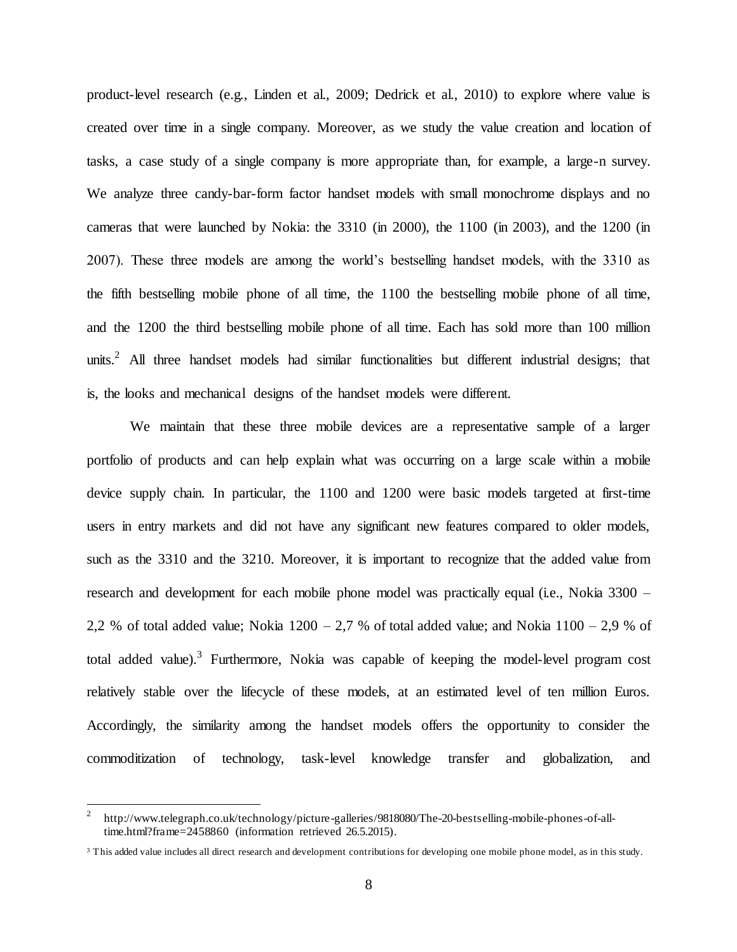product-level research (e.g., Linden et al., 2009; Dedrick et al., 2010) to explore where value is created over time in a single company. Moreover, as we study the value creation and location of tasks, a case study of a single company is more appropriate than, for example, a large-n survey. We analyze three candy-bar-form factor handset models with small monochrome displays and no cameras that were launched by Nokia: the 3310 (in 2000), the 1100 (in 2003), and the 1200 (in 2007). These three models are among the world's bestselling handset models, with the 3310 as the fifth bestselling mobile phone of all time, the 1100 the bestselling mobile phone of all time, and the 1200 the third bestselling mobile phone of all time. Each has sold more than 100 million units.<sup>2</sup> All three handset models had similar functionalities but different industrial designs; that is, the looks and mechanical designs of the handset models were different.

We maintain that these three mobile devices are a representative sample of a larger portfolio of products and can help explain what was occurring on a large scale within a mobile device supply chain. In particular, the 1100 and 1200 were basic models targeted at first-time users in entry markets and did not have any significant new features compared to older models, such as the 3310 and the 3210. Moreover, it is important to recognize that the added value from research and development for each mobile phone model was practically equal (i.e., Nokia 3300 – 2,2 % of total added value; Nokia  $1200 - 2.7$  % of total added value; and Nokia  $1100 - 2.9$  % of total added value).<sup>3</sup> Furthermore, Nokia was capable of keeping the model-level program cost relatively stable over the lifecycle of these models, at an estimated level of ten million Euros. Accordingly, the similarity among the handset models offers the opportunity to consider the commoditization of technology, task-level knowledge transfer and globalization, and

<sup>2</sup> http://www.telegraph.co.uk/technology/picture-galleries/9818080/The-20-bestselling-mobile-phones-of-alltime.html?frame=2458860 (information retrieved 26.5.2015).

<sup>&</sup>lt;sup>3</sup> This added value includes all direct research and development contributions for developing one mobile phone model, as in this study.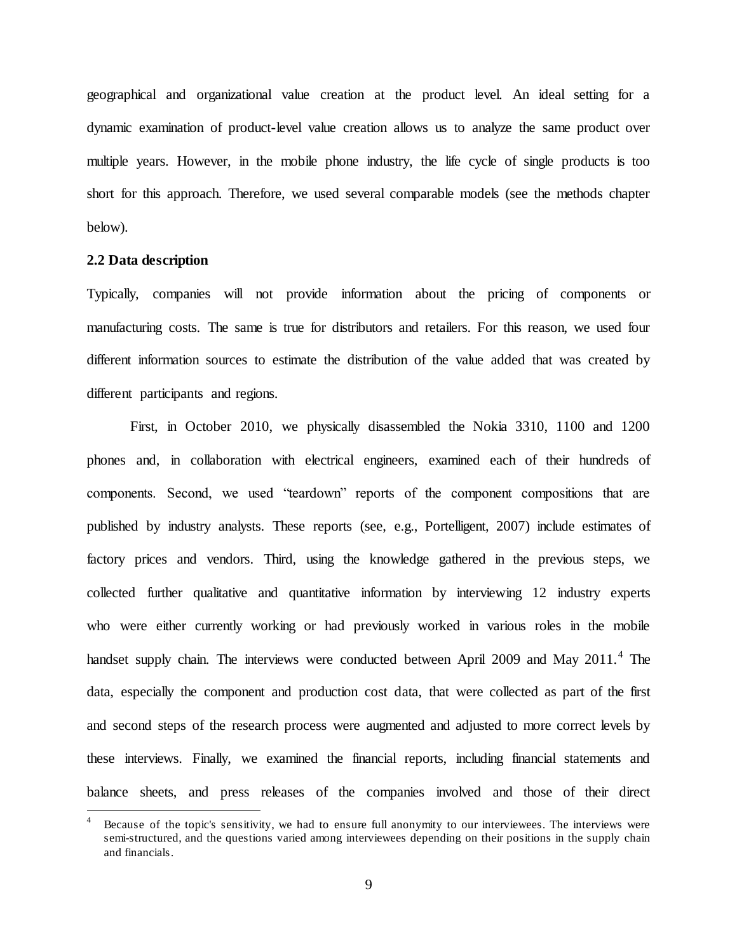geographical and organizational value creation at the product level. An ideal setting for a dynamic examination of product-level value creation allows us to analyze the same product over multiple years. However, in the mobile phone industry, the life cycle of single products is too short for this approach. Therefore, we used several comparable models (see the methods chapter below).

# **2.2 Data description**

l

Typically, companies will not provide information about the pricing of components or manufacturing costs. The same is true for distributors and retailers. For this reason, we used four different information sources to estimate the distribution of the value added that was created by different participants and regions.

First, in October 2010, we physically disassembled the Nokia 3310, 1100 and 1200 phones and, in collaboration with electrical engineers, examined each of their hundreds of components. Second, we used "teardown" reports of the component compositions that are published by industry analysts. These reports (see, e.g., Portelligent, 2007) include estimates of factory prices and vendors. Third, using the knowledge gathered in the previous steps, we collected further qualitative and quantitative information by interviewing 12 industry experts who were either currently working or had previously worked in various roles in the mobile handset supply chain. The interviews were conducted between April 2009 and May  $2011<sup>4</sup>$ . The data, especially the component and production cost data, that were collected as part of the first and second steps of the research process were augmented and adjusted to more correct levels by these interviews. Finally, we examined the financial reports, including financial statements and balance sheets, and press releases of the companies involved and those of their direct

Because of the topic's sensitivity, we had to ensure full anonymity to our interviewees. The interviews were semi-structured, and the questions varied among interviewees depending on their positions in the supply chain and financials.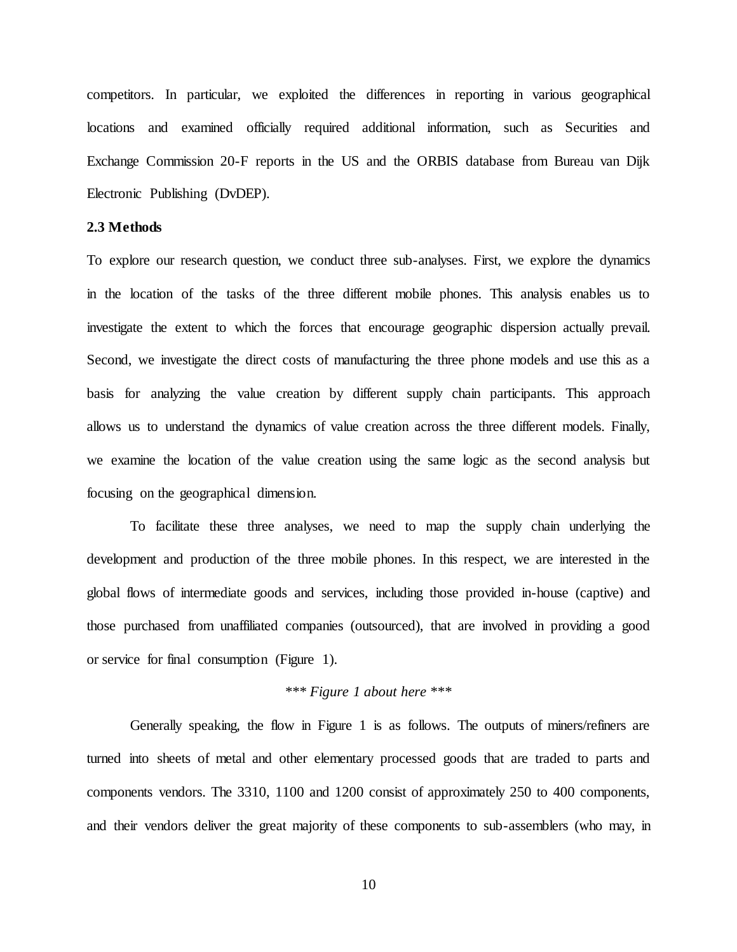competitors. In particular, we exploited the differences in reporting in various geographical locations and examined officially required additional information, such as Securities and Exchange Commission 20-F reports in the US and the ORBIS database from Bureau van Dijk Electronic Publishing (DvDEP).

# **2.3 Methods**

To explore our research question, we conduct three sub-analyses. First, we explore the dynamics in the location of the tasks of the three different mobile phones. This analysis enables us to investigate the extent to which the forces that encourage geographic dispersion actually prevail. Second, we investigate the direct costs of manufacturing the three phone models and use this as a basis for analyzing the value creation by different supply chain participants. This approach allows us to understand the dynamics of value creation across the three different models. Finally, we examine the location of the value creation using the same logic as the second analysis but focusing on the geographical dimension.

To facilitate these three analyses, we need to map the supply chain underlying the development and production of the three mobile phones. In this respect, we are interested in the global flows of intermediate goods and services, including those provided in-house (captive) and those purchased from unaffiliated companies (outsourced), that are involved in providing a good or service for final consumption (Figure 1).

# *\*\*\* Figure 1 about here \*\*\**

Generally speaking, the flow in Figure 1 is as follows. The outputs of miners/refiners are turned into sheets of metal and other elementary processed goods that are traded to parts and components vendors. The 3310, 1100 and 1200 consist of approximately 250 to 400 components, and their vendors deliver the great majority of these components to sub-assemblers (who may, in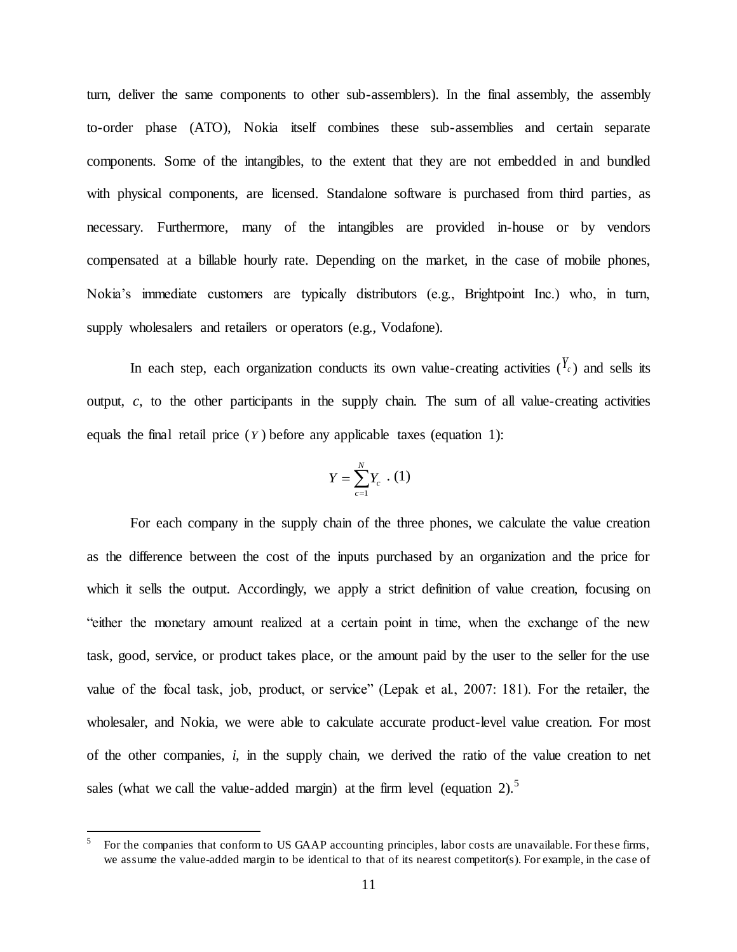turn, deliver the same components to other sub-assemblers). In the final assembly, the assembly to-order phase (ATO), Nokia itself combines these sub-assemblies and certain separate components. Some of the intangibles, to the extent that they are not embedded in and bundled with physical components, are licensed. Standalone software is purchased from third parties, as necessary. Furthermore, many of the intangibles are provided in-house or by vendors compensated at a billable hourly rate. Depending on the market, in the case of mobile phones, Nokia's immediate customers are typically distributors (e.g., Brightpoint Inc.) who, in turn, supply wholesalers and retailers or operators (e.g., Vodafone).

In each step, each organization conducts its own value-creating activities  $({}^{\prime}{}_{c})$  and sells its output, *c*, to the other participants in the supply chain. The sum of all value-creating activities equals the final retail price  $(Y)$  before any applicable taxes (equation 1):

$$
Y=\sum_{c=1}^N Y_c \cdot (1)
$$

For each company in the supply chain of the three phones, we calculate the value creation as the difference between the cost of the inputs purchased by an organization and the price for which it sells the output. Accordingly, we apply a strict definition of value creation, focusing on "either the monetary amount realized at a certain point in time, when the exchange of the new task, good, service, or product takes place, or the amount paid by the user to the seller for the use value of the focal task, job, product, or service" (Lepak et al., 2007: 181). For the retailer, the wholesaler, and Nokia, we were able to calculate accurate product-level value creation. For most of the other companies, *i*, in the supply chain, we derived the ratio of the value creation to net sales (what we call the value-added margin) at the firm level (equation 2).<sup>5</sup>

<sup>5</sup> For the companies that conform to US GAAP accounting principles, labor costs are unavailable. For these firms, we assume the value-added margin to be identical to that of its nearest competitor(s). For example, in the case of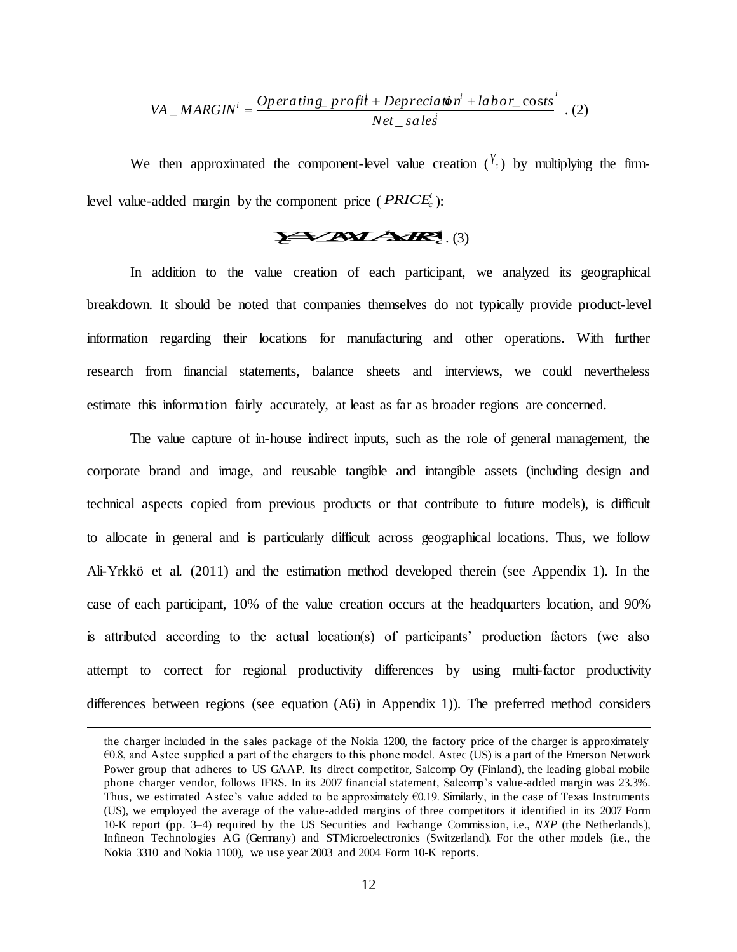VA 
$$
\_
$$
 *MARGIN<sup>i</sup>* =  $\frac{Operating\_profit + Deprecia t\dot{\phi} n^i + labor\_costs^i}{Net\_sales}$  . (2)

We then approximated the component-level value creation  $({}^{Y_c})$  by multiplying the firmlevel value-added margin by the component price ( $PRICE_c^i$ ):

# $\sum_{i=1}^{\infty}$  *Z***M** *Z***C** *z z***z**</del> *z*<sub>*z***</sub>** *z***<sub><b>***z***</del>** *z*<sup>*z*</sup> *z*<sub>*z*</sub> *z*<sub>*z*</sub> *z*<sub>*z*</sub> *z*<sub>*z*</sub> *z*<sub>*z*</sub> *z*<sub>*z*</sub> *z*<sub>*z*</sub> *z*<sub>*z*</sub> *z*<sub>*z*</sub> *z*<sub>*z*</sub> *z*<sub>*z*</sub> *z*<sub>*z*</sub> *z*<sub>*z*</sub> *z*<sub>*z*</sub> *z*<sub>*z*</sub> *z*<sub>*z*</sub> *z*<sub>*</sub></sub></sub>*

In addition to the value creation of each participant, we analyzed its geographical breakdown. It should be noted that companies themselves do not typically provide product-level information regarding their locations for manufacturing and other operations. With further research from financial statements, balance sheets and interviews, we could nevertheless estimate this information fairly accurately, at least as far as broader regions are concerned.

 $\frac{1}{2}$  *i***h** + *Depreciation'* + *labor\_* costs<sup>*i*</sup><br> *Net\_sales<sup>†</sup>*<br> *kevel* value creation  $\left(\frac{y}{c}\right)$  by mult<br>  $\frac{1}{2}$  *kevel* value creation  $\left(\frac{y}{c}\right)$  by mult<br>  $\frac{1}{2}$  *kevel* value creation  $\left(\frac{y}{c}\right)$ The value capture of in-house indirect inputs, such as the role of general management, the corporate brand and image, and reusable tangible and intangible assets (including design and technical aspects copied from previous products or that contribute to future models), is difficult to allocate in general and is particularly difficult across geographical locations. Thus, we follow Ali-Yrkkö et al. (2011) and the estimation method developed therein (see Appendix 1). In the case of each participant, 10% of the value creation occurs at the headquarters location, and 90% is attributed according to the actual location(s) of participants' production factors (we also attempt to correct for regional productivity differences by using multi-factor productivity differences between regions (see equation (A6) in Appendix 1)). The preferred method considers

the charger included in the sales package of the Nokia 1200, the factory price of the charger is approximately €0.8, and Astec supplied a part of the chargers to this phone model. Astec (US) is a part of the Emerson Network Power group that adheres to US GAAP. Its direct competitor, Salcomp Oy (Finland), the leading global mobile phone charger vendor, follows IFRS. In its 2007 financial statement, Salcomp's value-added margin was 23.3%. Thus, we estimated Astec's value added to be approximately €0.19. Similarly, in the case of Texas Instruments (US), we employed the average of the value-added margins of three competitors it identified in its 2007 Form 10-K report (pp. 3–4) required by the US Securities and Exchange Commission, i.e., *NXP* (the Netherlands), Infineon Technologies AG (Germany) and STMicroelectronics (Switzerland). For the other models (i.e., the Nokia 3310 and Nokia 1100), we use year 2003 and 2004 Form 10-K reports.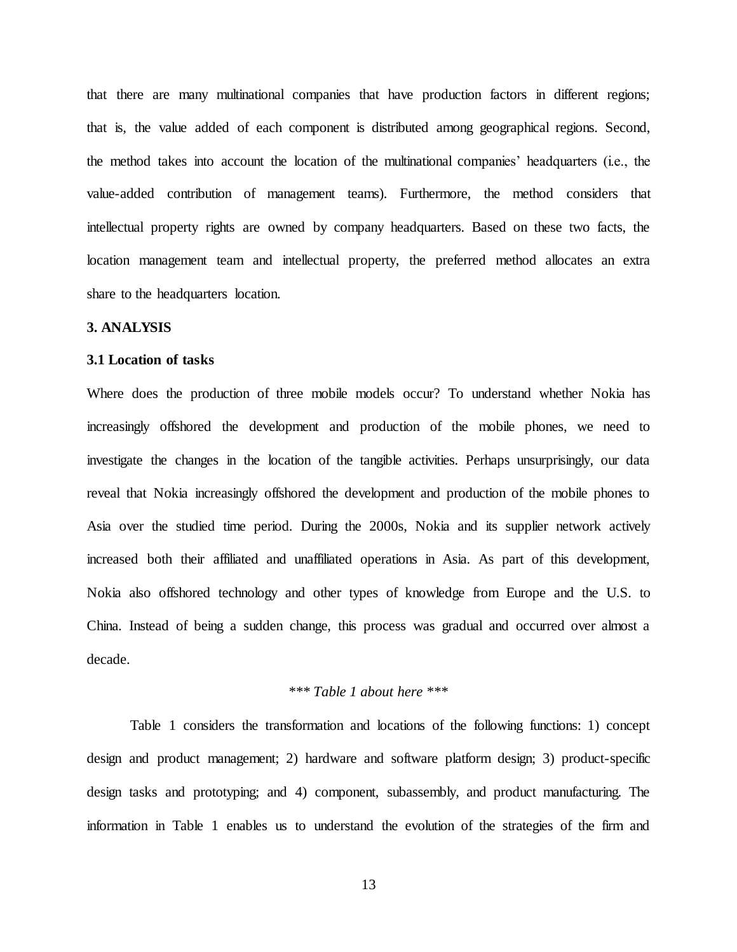that there are many multinational companies that have production factors in different regions; that is, the value added of each component is distributed among geographical regions. Second, the method takes into account the location of the multinational companies' headquarters (i.e., the value-added contribution of management teams). Furthermore, the method considers that intellectual property rights are owned by company headquarters. Based on these two facts, the location management team and intellectual property, the preferred method allocates an extra share to the headquarters location.

#### **3. ANALYSIS**

### **3.1 Location of tasks**

Where does the production of three mobile models occur? To understand whether Nokia has increasingly offshored the development and production of the mobile phones, we need to investigate the changes in the location of the tangible activities. Perhaps unsurprisingly, our data reveal that Nokia increasingly offshored the development and production of the mobile phones to Asia over the studied time period. During the 2000s, Nokia and its supplier network actively increased both their affiliated and unaffiliated operations in Asia. As part of this development, Nokia also offshored technology and other types of knowledge from Europe and the U.S. to China. Instead of being a sudden change, this process was gradual and occurred over almost a decade.

# *\*\*\* Table 1 about here \*\*\**

Table 1 considers the transformation and locations of the following functions: 1) concept design and product management; 2) hardware and software platform design; 3) product-specific design tasks and prototyping; and 4) component, subassembly, and product manufacturing. The information in Table 1 enables us to understand the evolution of the strategies of the firm and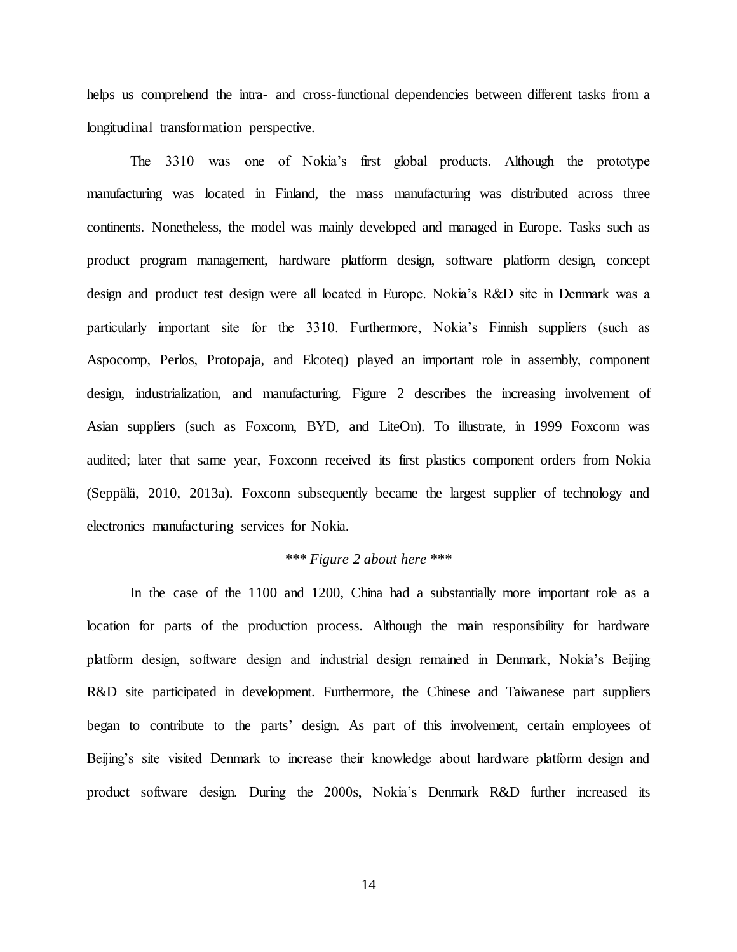helps us comprehend the intra- and cross-functional dependencies between different tasks from a longitudinal transformation perspective.

The 3310 was one of Nokia's first global products. Although the prototype manufacturing was located in Finland, the mass manufacturing was distributed across three continents. Nonetheless, the model was mainly developed and managed in Europe. Tasks such as product program management, hardware platform design, software platform design, concept design and product test design were all located in Europe. Nokia's R&D site in Denmark was a particularly important site for the 3310. Furthermore, Nokia's Finnish suppliers (such as Aspocomp, Perlos, Protopaja, and Elcoteq) played an important role in assembly, component design, industrialization, and manufacturing. Figure 2 describes the increasing involvement of Asian suppliers (such as Foxconn, BYD, and LiteOn). To illustrate, in 1999 Foxconn was audited; later that same year, Foxconn received its first plastics component orders from Nokia (Seppälä, 2010, 2013a). Foxconn subsequently became the largest supplier of technology and electronics manufacturing services for Nokia.

# *\*\*\* Figure 2 about here \*\*\**

In the case of the 1100 and 1200, China had a substantially more important role as a location for parts of the production process. Although the main responsibility for hardware platform design, software design and industrial design remained in Denmark, Nokia's Beijing R&D site participated in development. Furthermore, the Chinese and Taiwanese part suppliers began to contribute to the parts' design. As part of this involvement, certain employees of Beijing's site visited Denmark to increase their knowledge about hardware platform design and product software design. During the 2000s, Nokia's Denmark R&D further increased its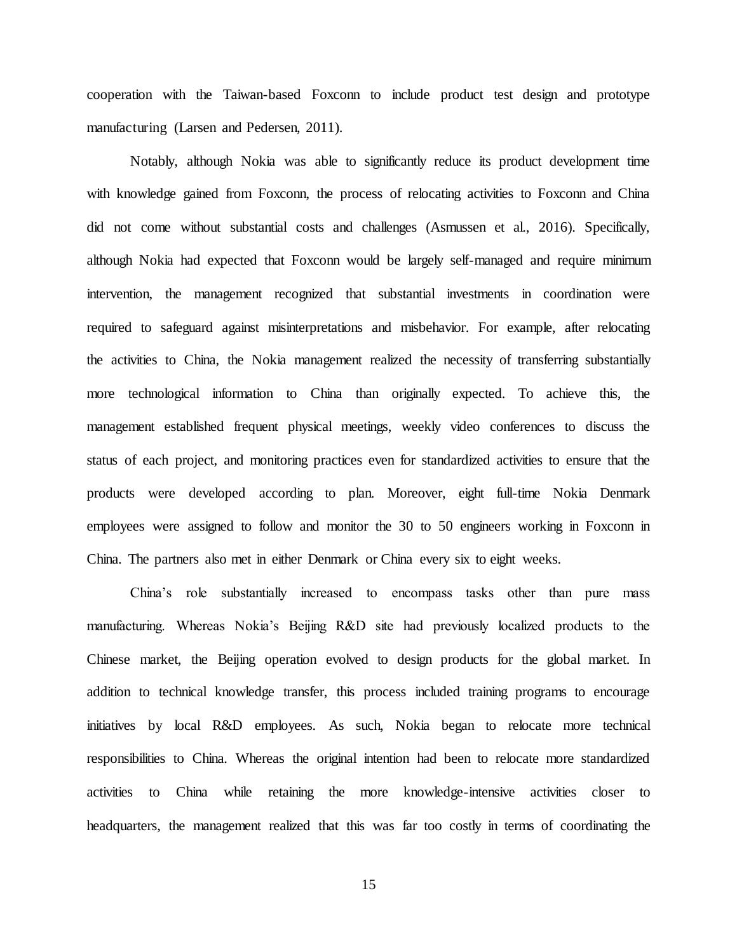cooperation with the Taiwan-based Foxconn to include product test design and prototype manufacturing (Larsen and Pedersen, 2011).

Notably, although Nokia was able to significantly reduce its product development time with knowledge gained from Foxconn, the process of relocating activities to Foxconn and China did not come without substantial costs and challenges (Asmussen et al., 2016). Specifically, although Nokia had expected that Foxconn would be largely self-managed and require minimum intervention, the management recognized that substantial investments in coordination were required to safeguard against misinterpretations and misbehavior. For example, after relocating the activities to China, the Nokia management realized the necessity of transferring substantially more technological information to China than originally expected. To achieve this, the management established frequent physical meetings, weekly video conferences to discuss the status of each project, and monitoring practices even for standardized activities to ensure that the products were developed according to plan. Moreover, eight full-time Nokia Denmark employees were assigned to follow and monitor the 30 to 50 engineers working in Foxconn in China. The partners also met in either Denmark or China every six to eight weeks.

China's role substantially increased to encompass tasks other than pure mass manufacturing. Whereas Nokia's Beijing R&D site had previously localized products to the Chinese market, the Beijing operation evolved to design products for the global market. In addition to technical knowledge transfer, this process included training programs to encourage initiatives by local R&D employees. As such, Nokia began to relocate more technical responsibilities to China. Whereas the original intention had been to relocate more standardized activities to China while retaining the more knowledge-intensive activities closer to headquarters, the management realized that this was far too costly in terms of coordinating the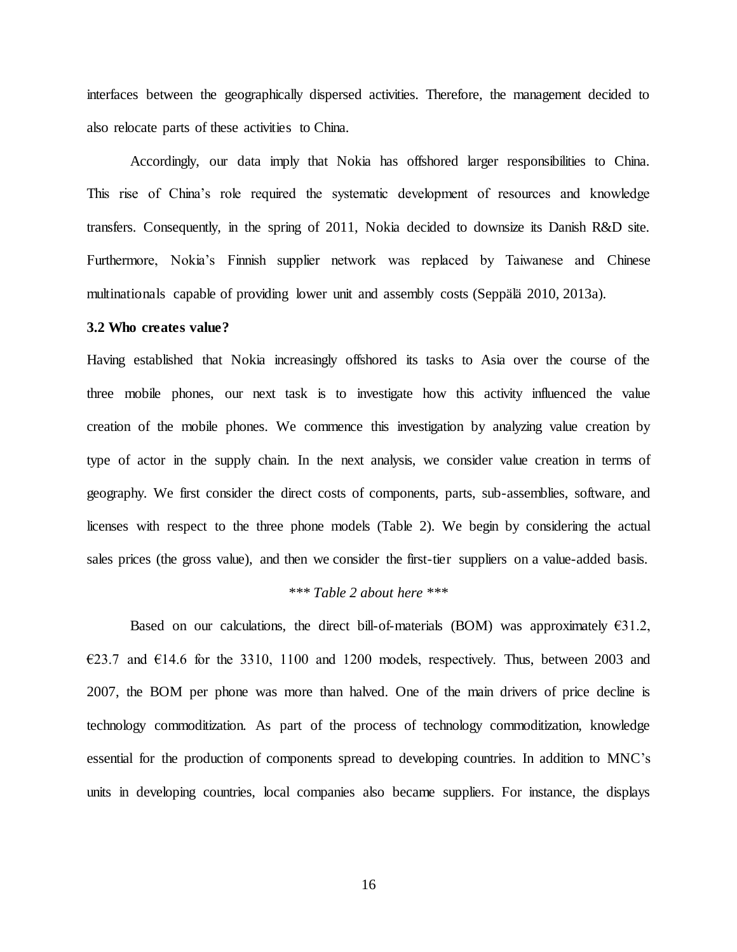interfaces between the geographically dispersed activities. Therefore, the management decided to also relocate parts of these activities to China.

Accordingly, our data imply that Nokia has offshored larger responsibilities to China. This rise of China's role required the systematic development of resources and knowledge transfers. Consequently, in the spring of 2011, Nokia decided to downsize its Danish R&D site. Furthermore, Nokia's Finnish supplier network was replaced by Taiwanese and Chinese multinationals capable of providing lower unit and assembly costs (Seppälä 2010, 2013a).

# **3.2 Who creates value?**

Having established that Nokia increasingly offshored its tasks to Asia over the course of the three mobile phones, our next task is to investigate how this activity influenced the value creation of the mobile phones. We commence this investigation by analyzing value creation by type of actor in the supply chain. In the next analysis, we consider value creation in terms of geography. We first consider the direct costs of components, parts, sub-assemblies, software, and licenses with respect to the three phone models (Table 2). We begin by considering the actual sales prices (the gross value), and then we consider the first-tier suppliers on a value-added basis.

#### *\*\*\* Table 2 about here \*\*\**

Based on our calculations, the direct bill-of-materials (BOM) was approximately  $€31.2$ ,  $\epsilon$ 23.7 and  $\epsilon$ 14.6 for the 3310, 1100 and 1200 models, respectively. Thus, between 2003 and 2007, the BOM per phone was more than halved. One of the main drivers of price decline is technology commoditization. As part of the process of technology commoditization, knowledge essential for the production of components spread to developing countries. In addition to MNC's units in developing countries, local companies also became suppliers. For instance, the displays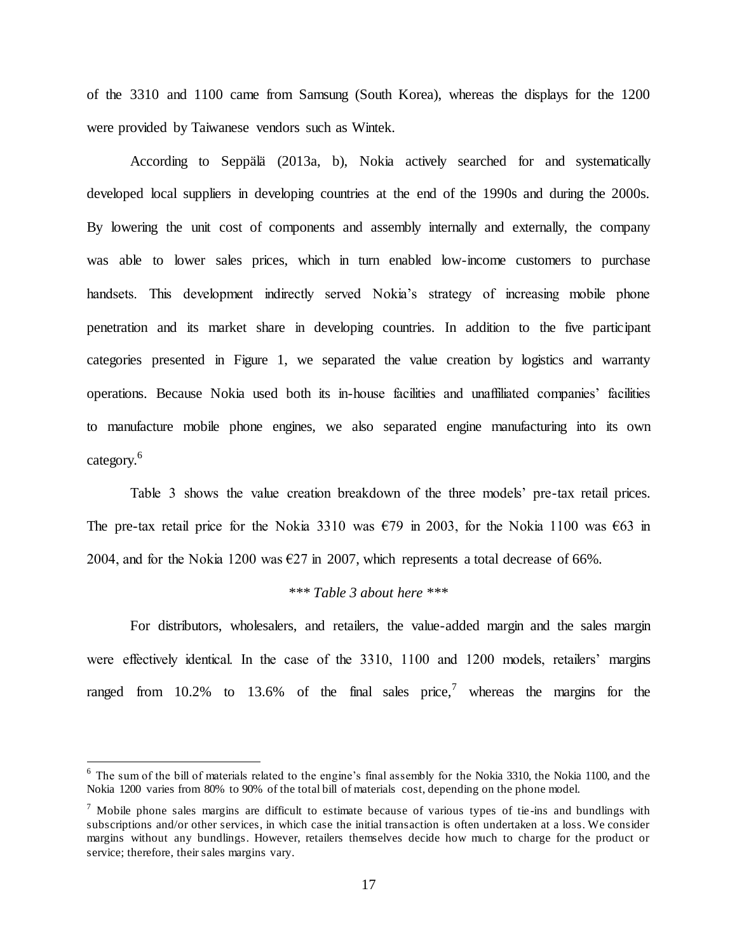of the 3310 and 1100 came from Samsung (South Korea), whereas the displays for the 1200 were provided by Taiwanese vendors such as Wintek.

According to Seppälä (2013a, b), Nokia actively searched for and systematically developed local suppliers in developing countries at the end of the 1990s and during the 2000s. By lowering the unit cost of components and assembly internally and externally, the company was able to lower sales prices, which in turn enabled low-income customers to purchase handsets. This development indirectly served Nokia's strategy of increasing mobile phone penetration and its market share in developing countries. In addition to the five participant categories presented in Figure 1, we separated the value creation by logistics and warranty operations. Because Nokia used both its in-house facilities and unaffiliated companies' facilities to manufacture mobile phone engines, we also separated engine manufacturing into its own category.<sup>6</sup>

Table 3 shows the value creation breakdown of the three models' pre-tax retail prices. The pre-tax retail price for the Nokia 3310 was  $\epsilon$ 79 in 2003, for the Nokia 1100 was  $\epsilon$ 63 in 2004, and for the Nokia 1200 was  $\epsilon$ 27 in 2007, which represents a total decrease of 66%.

# *\*\*\* Table 3 about here \*\*\**

For distributors, wholesalers, and retailers, the value-added margin and the sales margin were effectively identical. In the case of the 3310, 1100 and 1200 models, retailers' margins ranged from 10.2% to 13.6% of the final sales price,<sup>7</sup> whereas the margins for the

 $6$  The sum of the bill of materials related to the engine's final assembly for the Nokia 3310, the Nokia 1100, and the Nokia 1200 varies from 80% to 90% of the total bill of materials cost, depending on the phone model.

 $<sup>7</sup>$  Mobile phone sales margins are difficult to estimate because of various types of tie-ins and bundlings with</sup> subscriptions and/or other services, in which case the initial transaction is often undertaken at a loss. We consider margins without any bundlings. However, retailers themselves decide how much to charge for the product or service; therefore, their sales margins vary.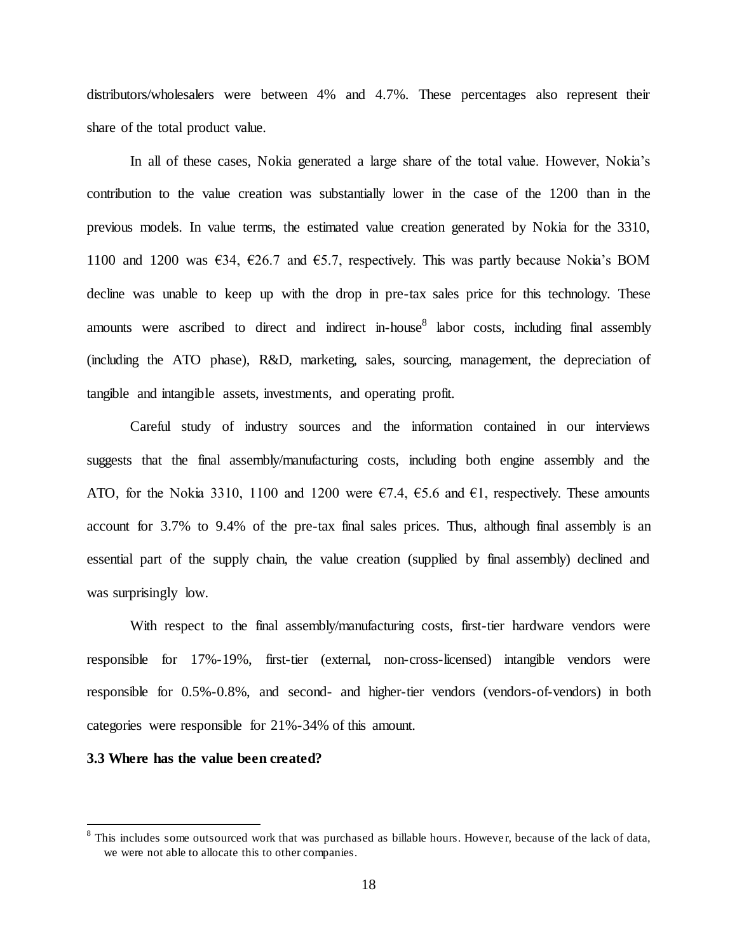distributors/wholesalers were between 4% and 4.7%. These percentages also represent their share of the total product value.

In all of these cases, Nokia generated a large share of the total value. However, Nokia's contribution to the value creation was substantially lower in the case of the 1200 than in the previous models. In value terms, the estimated value creation generated by Nokia for the 3310, 1100 and 1200 was  $634, 626.7$  and  $65.7$ , respectively. This was partly because Nokia's BOM decline was unable to keep up with the drop in pre-tax sales price for this technology. These amounts were ascribed to direct and indirect in-house<sup>8</sup> labor costs, including final assembly (including the ATO phase), R&D, marketing, sales, sourcing, management, the depreciation of tangible and intangible assets, investments, and operating profit.

Careful study of industry sources and the information contained in our interviews suggests that the final assembly/manufacturing costs, including both engine assembly and the ATO, for the Nokia 3310, 1100 and 1200 were  $\epsilon$ 7.4,  $\epsilon$ 5.6 and  $\epsilon$ 1, respectively. These amounts account for 3.7% to 9.4% of the pre-tax final sales prices. Thus, although final assembly is an essential part of the supply chain, the value creation (supplied by final assembly) declined and was surprisingly low.

With respect to the final assembly/manufacturing costs, first-tier hardware vendors were responsible for 17%-19%, first-tier (external, non-cross-licensed) intangible vendors were responsible for 0.5%-0.8%, and second- and higher-tier vendors (vendors-of-vendors) in both categories were responsible for 21%-34% of this amount.

# **3.3 Where has the value been created?**

 $8$  This includes some outsourced work that was purchased as billable hours. However, because of the lack of data, we were not able to allocate this to other companies.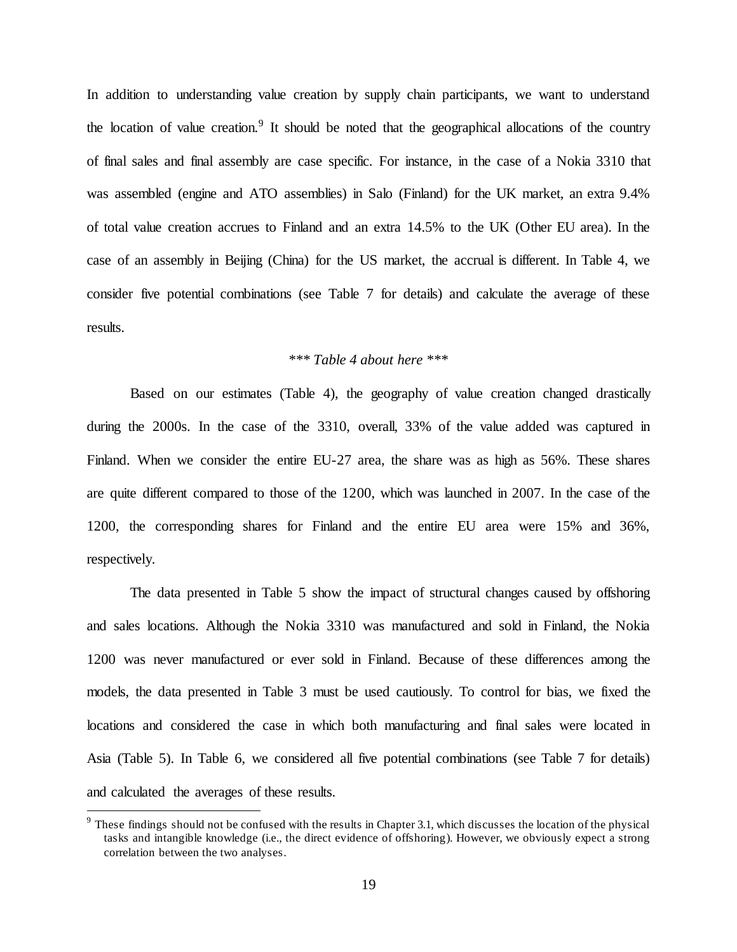In addition to understanding value creation by supply chain participants, we want to understand the location of value creation.<sup>9</sup> It should be noted that the geographical allocations of the country of final sales and final assembly are case specific. For instance, in the case of a Nokia 3310 that was assembled (engine and ATO assemblies) in Salo (Finland) for the UK market, an extra 9.4% of total value creation accrues to Finland and an extra 14.5% to the UK (Other EU area). In the case of an assembly in Beijing (China) for the US market, the accrual is different. In Table 4, we consider five potential combinations (see Table 7 for details) and calculate the average of these results.

# *\*\*\* Table 4 about here \*\*\**

Based on our estimates (Table 4), the geography of value creation changed drastically during the 2000s. In the case of the 3310, overall, 33% of the value added was captured in Finland. When we consider the entire EU-27 area, the share was as high as 56%. These shares are quite different compared to those of the 1200, which was launched in 2007. In the case of the 1200, the corresponding shares for Finland and the entire EU area were 15% and 36%, respectively.

The data presented in Table 5 show the impact of structural changes caused by offshoring and sales locations. Although the Nokia 3310 was manufactured and sold in Finland, the Nokia 1200 was never manufactured or ever sold in Finland. Because of these differences among the models, the data presented in Table 3 must be used cautiously. To control for bias, we fixed the locations and considered the case in which both manufacturing and final sales were located in Asia (Table 5). In Table 6, we considered all five potential combinations (see Table 7 for details) and calculated the averages of these results.

 $9$  These findings should not be confused with the results in Chapter 3.1, which discusses the location of the physical tasks and intangible knowledge (i.e., the direct evidence of offshoring). However, we obviously expect a strong correlation between the two analyses.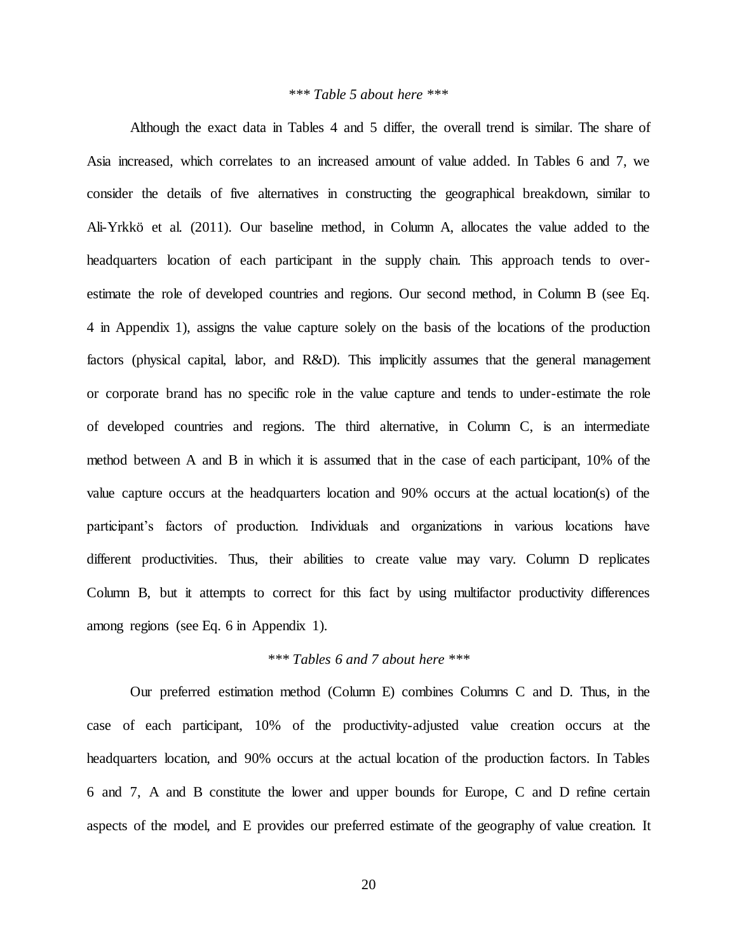# *\*\*\* Table 5 about here \*\*\**

Although the exact data in Tables 4 and 5 differ, the overall trend is similar. The share of Asia increased, which correlates to an increased amount of value added. In Tables 6 and 7, we consider the details of five alternatives in constructing the geographical breakdown, similar to Ali-Yrkkö et al. (2011). Our baseline method, in Column A, allocates the value added to the headquarters location of each participant in the supply chain. This approach tends to overestimate the role of developed countries and regions. Our second method, in Column B (see Eq. 4 in Appendix 1), assigns the value capture solely on the basis of the locations of the production factors (physical capital, labor, and R&D). This implicitly assumes that the general management or corporate brand has no specific role in the value capture and tends to under-estimate the role of developed countries and regions. The third alternative, in Column C, is an intermediate method between A and B in which it is assumed that in the case of each participant, 10% of the value capture occurs at the headquarters location and 90% occurs at the actual location(s) of the participant's factors of production. Individuals and organizations in various locations have different productivities. Thus, their abilities to create value may vary. Column D replicates Column B, but it attempts to correct for this fact by using multifactor productivity differences among regions (see Eq. 6 in Appendix 1).

# *\*\*\* Tables 6 and 7 about here \*\*\**

Our preferred estimation method (Column E) combines Columns C and D. Thus, in the case of each participant, 10% of the productivity-adjusted value creation occurs at the headquarters location, and 90% occurs at the actual location of the production factors. In Tables 6 and 7, A and B constitute the lower and upper bounds for Europe, C and D refine certain aspects of the model, and E provides our preferred estimate of the geography of value creation. It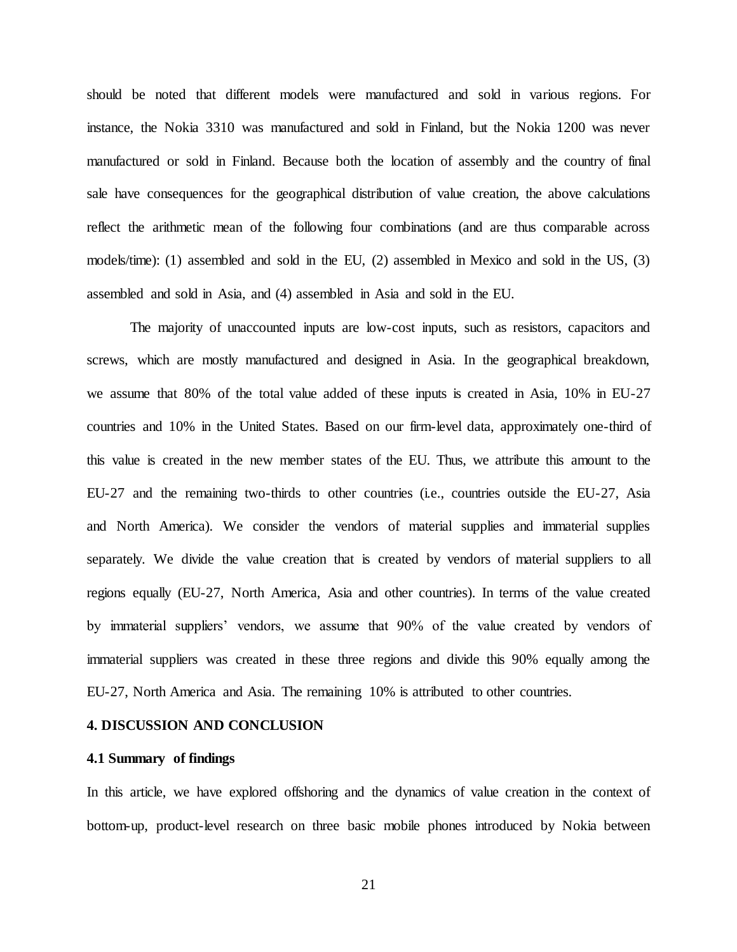should be noted that different models were manufactured and sold in various regions. For instance, the Nokia 3310 was manufactured and sold in Finland, but the Nokia 1200 was never manufactured or sold in Finland. Because both the location of assembly and the country of final sale have consequences for the geographical distribution of value creation, the above calculations reflect the arithmetic mean of the following four combinations (and are thus comparable across models/time): (1) assembled and sold in the EU, (2) assembled in Mexico and sold in the US, (3) assembled and sold in Asia, and (4) assembled in Asia and sold in the EU.

The majority of unaccounted inputs are low-cost inputs, such as resistors, capacitors and screws, which are mostly manufactured and designed in Asia. In the geographical breakdown, we assume that 80% of the total value added of these inputs is created in Asia, 10% in EU-27 countries and 10% in the United States. Based on our firm-level data, approximately one-third of this value is created in the new member states of the EU. Thus, we attribute this amount to the EU-27 and the remaining two-thirds to other countries (i.e., countries outside the EU-27, Asia and North America). We consider the vendors of material supplies and immaterial supplies separately. We divide the value creation that is created by vendors of material suppliers to all regions equally (EU-27, North America, Asia and other countries). In terms of the value created by immaterial suppliers' vendors, we assume that 90% of the value created by vendors of immaterial suppliers was created in these three regions and divide this 90% equally among the EU-27, North America and Asia. The remaining 10% is attributed to other countries.

# **4. DISCUSSION AND CONCLUSION**

#### **4.1 Summary of findings**

In this article, we have explored offshoring and the dynamics of value creation in the context of bottom-up, product-level research on three basic mobile phones introduced by Nokia between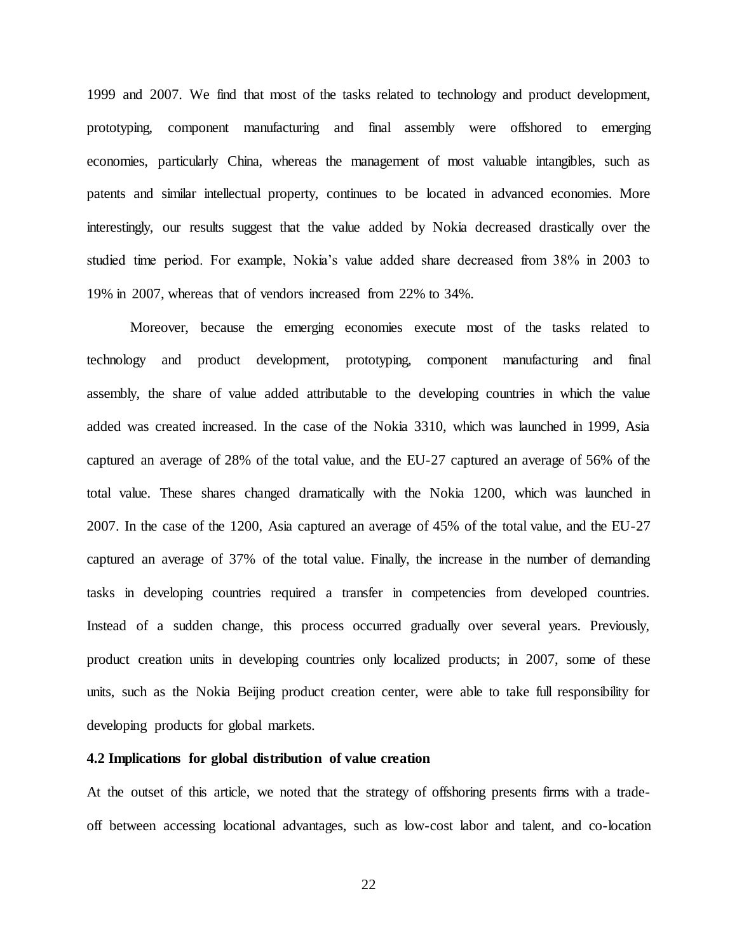1999 and 2007. We find that most of the tasks related to technology and product development, prototyping, component manufacturing and final assembly were offshored to emerging economies, particularly China, whereas the management of most valuable intangibles, such as patents and similar intellectual property, continues to be located in advanced economies. More interestingly, our results suggest that the value added by Nokia decreased drastically over the studied time period. For example, Nokia's value added share decreased from 38% in 2003 to 19% in 2007, whereas that of vendors increased from 22% to 34%.

Moreover, because the emerging economies execute most of the tasks related to technology and product development, prototyping, component manufacturing and final assembly, the share of value added attributable to the developing countries in which the value added was created increased. In the case of the Nokia 3310, which was launched in 1999, Asia captured an average of 28% of the total value, and the EU-27 captured an average of 56% of the total value. These shares changed dramatically with the Nokia 1200, which was launched in 2007. In the case of the 1200, Asia captured an average of 45% of the total value, and the EU-27 captured an average of 37% of the total value. Finally, the increase in the number of demanding tasks in developing countries required a transfer in competencies from developed countries. Instead of a sudden change, this process occurred gradually over several years. Previously, product creation units in developing countries only localized products; in 2007, some of these units, such as the Nokia Beijing product creation center, were able to take full responsibility for developing products for global markets.

#### **4.2 Implications for global distribution of value creation**

At the outset of this article, we noted that the strategy of offshoring presents firms with a tradeoff between accessing locational advantages, such as low-cost labor and talent, and co-location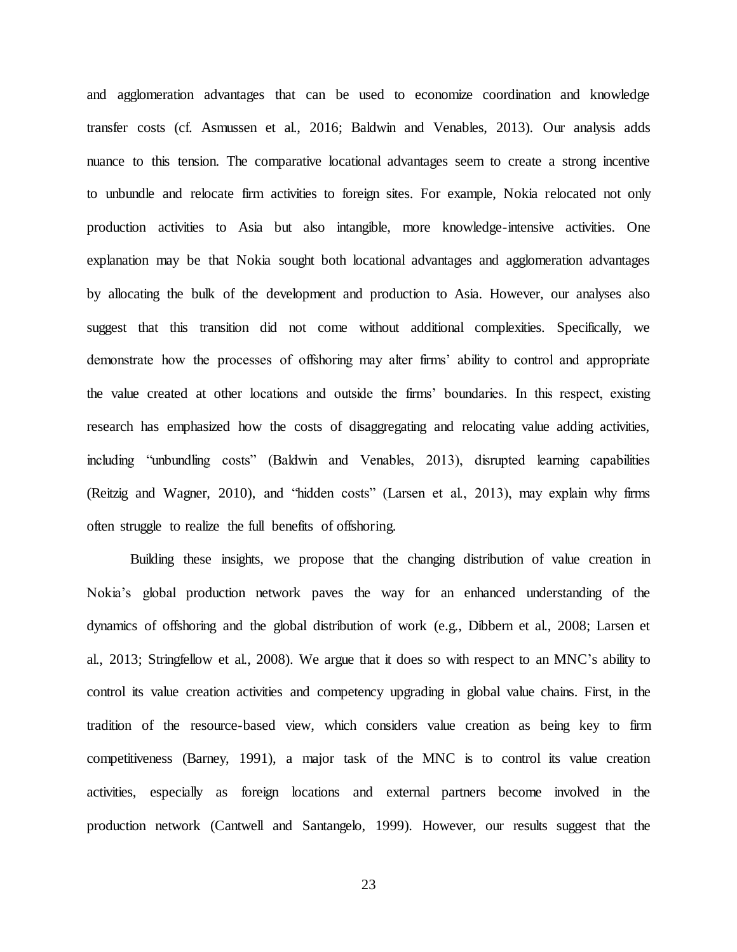and agglomeration advantages that can be used to economize coordination and knowledge transfer costs (cf. Asmussen et al., 2016; Baldwin and Venables, 2013). Our analysis adds nuance to this tension. The comparative locational advantages seem to create a strong incentive to unbundle and relocate firm activities to foreign sites. For example, Nokia relocated not only production activities to Asia but also intangible, more knowledge-intensive activities. One explanation may be that Nokia sought both locational advantages and agglomeration advantages by allocating the bulk of the development and production to Asia. However, our analyses also suggest that this transition did not come without additional complexities. Specifically, we demonstrate how the processes of offshoring may alter firms' ability to control and appropriate the value created at other locations and outside the firms' boundaries. In this respect, existing research has emphasized how the costs of disaggregating and relocating value adding activities, including "unbundling costs" (Baldwin and Venables, 2013), disrupted learning capabilities (Reitzig and Wagner, 2010), and "hidden costs" (Larsen et al., 2013), may explain why firms often struggle to realize the full benefits of offshoring.

Building these insights, we propose that the changing distribution of value creation in Nokia's global production network paves the way for an enhanced understanding of the dynamics of offshoring and the global distribution of work (e.g., Dibbern et al., 2008; Larsen et al., 2013; Stringfellow et al., 2008). We argue that it does so with respect to an MNC's ability to control its value creation activities and competency upgrading in global value chains. First, in the tradition of the resource-based view, which considers value creation as being key to firm competitiveness (Barney, 1991), a major task of the MNC is to control its value creation activities, especially as foreign locations and external partners become involved in the production network (Cantwell and Santangelo, 1999). However, our results suggest that the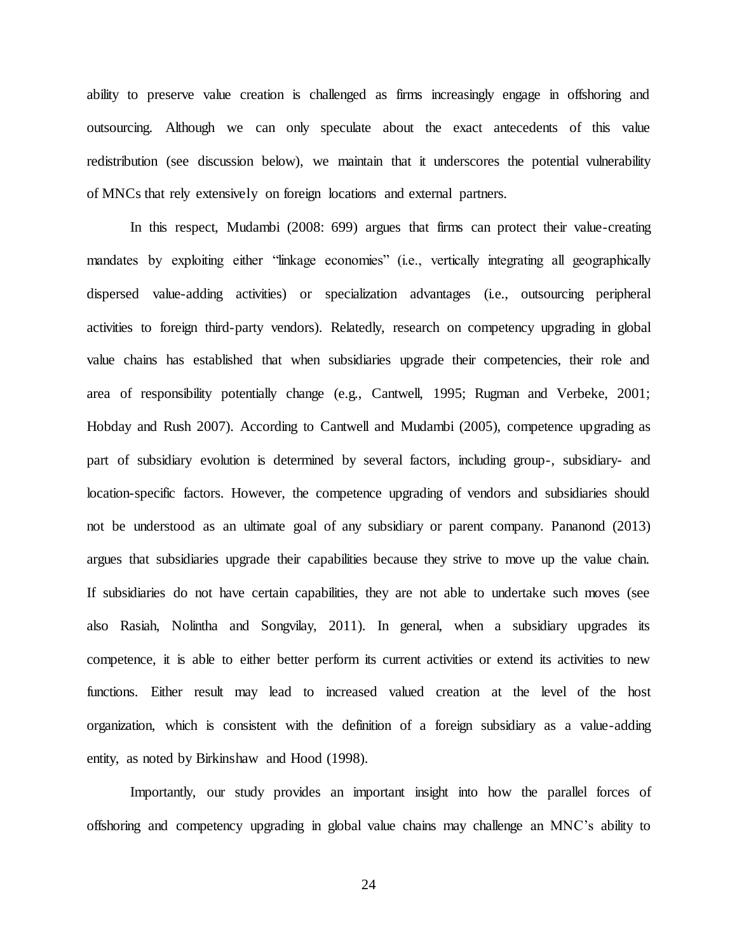ability to preserve value creation is challenged as firms increasingly engage in offshoring and outsourcing. Although we can only speculate about the exact antecedents of this value redistribution (see discussion below), we maintain that it underscores the potential vulnerability of MNCs that rely extensively on foreign locations and external partners.

In this respect, Mudambi (2008: 699) argues that firms can protect their value-creating mandates by exploiting either "linkage economies" (i.e., vertically integrating all geographically dispersed value-adding activities) or specialization advantages (i.e., outsourcing peripheral activities to foreign third-party vendors). Relatedly, research on competency upgrading in global value chains has established that when subsidiaries upgrade their competencies, their role and area of responsibility potentially change (e.g., Cantwell, 1995; Rugman and Verbeke, 2001; Hobday and Rush 2007). According to Cantwell and Mudambi (2005), competence upgrading as part of subsidiary evolution is determined by several factors, including group-, subsidiary- and location-specific factors. However, the competence upgrading of vendors and subsidiaries should not be understood as an ultimate goal of any subsidiary or parent company. Pananond (2013) argues that subsidiaries upgrade their capabilities because they strive to move up the value chain. If subsidiaries do not have certain capabilities, they are not able to undertake such moves (see also Rasiah, Nolintha and Songvilay, 2011). In general, when a subsidiary upgrades its competence, it is able to either better perform its current activities or extend its activities to new functions. Either result may lead to increased valued creation at the level of the host organization, which is consistent with the definition of a foreign subsidiary as a value-adding entity, as noted by Birkinshaw and Hood (1998).

Importantly, our study provides an important insight into how the parallel forces of offshoring and competency upgrading in global value chains may challenge an MNC's ability to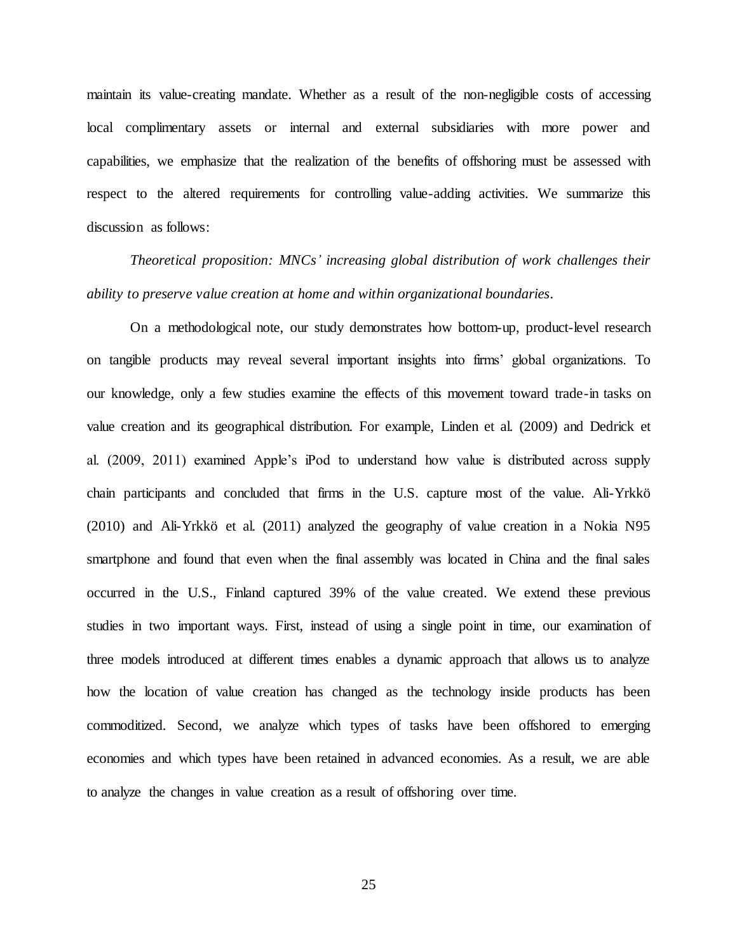maintain its value-creating mandate. Whether as a result of the non-negligible costs of accessing local complimentary assets or internal and external subsidiaries with more power and capabilities, we emphasize that the realization of the benefits of offshoring must be assessed with respect to the altered requirements for controlling value-adding activities. We summarize this discussion as follows:

*Theoretical proposition: MNCs' increasing global distribution of work challenges their ability to preserve value creation at home and within organizational boundaries.*

On a methodological note, our study demonstrates how bottom-up, product-level research on tangible products may reveal several important insights into firms' global organizations. To our knowledge, only a few studies examine the effects of this movement toward trade-in tasks on value creation and its geographical distribution. For example, Linden et al. (2009) and Dedrick et al. (2009, 2011) examined Apple's iPod to understand how value is distributed across supply chain participants and concluded that firms in the U.S. capture most of the value. Ali-Yrkkö (2010) and Ali-Yrkkö et al. (2011) analyzed the geography of value creation in a Nokia N95 smartphone and found that even when the final assembly was located in China and the final sales occurred in the U.S., Finland captured 39% of the value created. We extend these previous studies in two important ways. First, instead of using a single point in time, our examination of three models introduced at different times enables a dynamic approach that allows us to analyze how the location of value creation has changed as the technology inside products has been commoditized. Second, we analyze which types of tasks have been offshored to emerging economies and which types have been retained in advanced economies. As a result, we are able to analyze the changes in value creation as a result of offshoring over time.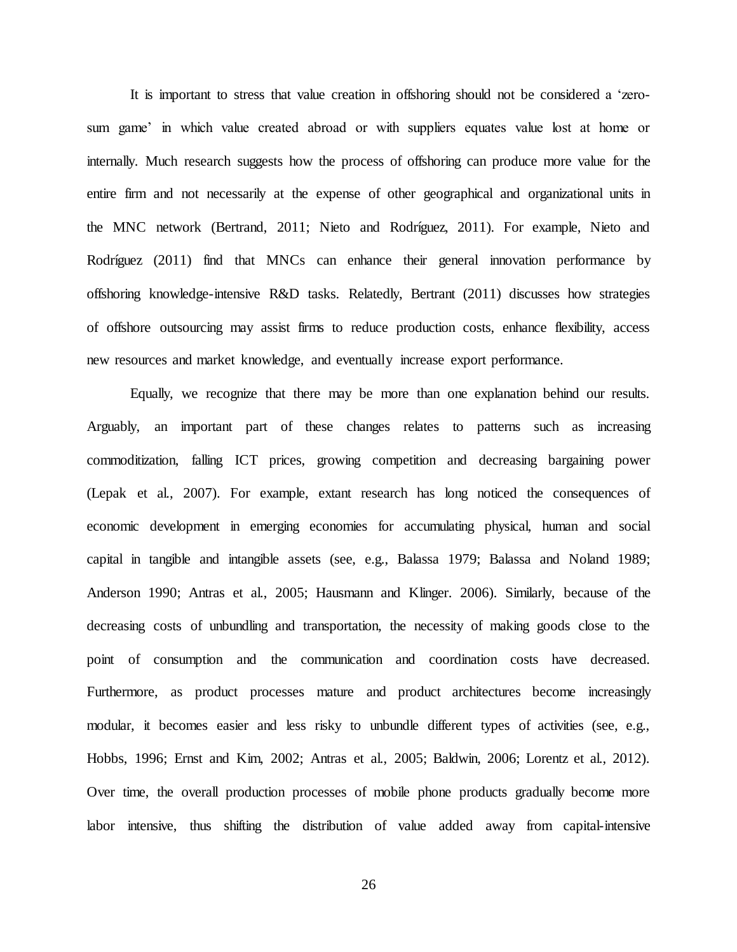It is important to stress that value creation in offshoring should not be considered a 'zerosum game' in which value created abroad or with suppliers equates value lost at home or internally. Much research suggests how the process of offshoring can produce more value for the entire firm and not necessarily at the expense of other geographical and organizational units in the MNC network (Bertrand, 2011; Nieto and Rodríguez, 2011). For example, Nieto and Rodríguez (2011) find that MNCs can enhance their general innovation performance by offshoring knowledge-intensive R&D tasks. Relatedly, Bertrant (2011) discusses how strategies of offshore outsourcing may assist firms to reduce production costs, enhance flexibility, access new resources and market knowledge, and eventually increase export performance.

Equally, we recognize that there may be more than one explanation behind our results. Arguably, an important part of these changes relates to patterns such as increasing commoditization, falling ICT prices, growing competition and decreasing bargaining power (Lepak et al., 2007). For example, extant research has long noticed the consequences of economic development in emerging economies for accumulating physical, human and social capital in tangible and intangible assets (see, e.g., Balassa 1979; Balassa and Noland 1989; Anderson 1990; Antras et al., 2005; Hausmann and Klinger. 2006). Similarly, because of the decreasing costs of unbundling and transportation, the necessity of making goods close to the point of consumption and the communication and coordination costs have decreased. Furthermore, as product processes mature and product architectures become increasingly modular, it becomes easier and less risky to unbundle different types of activities (see, e.g., Hobbs, 1996; Ernst and Kim, 2002; Antras et al., 2005; Baldwin, 2006; Lorentz et al., 2012). Over time, the overall production processes of mobile phone products gradually become more labor intensive, thus shifting the distribution of value added away from capital-intensive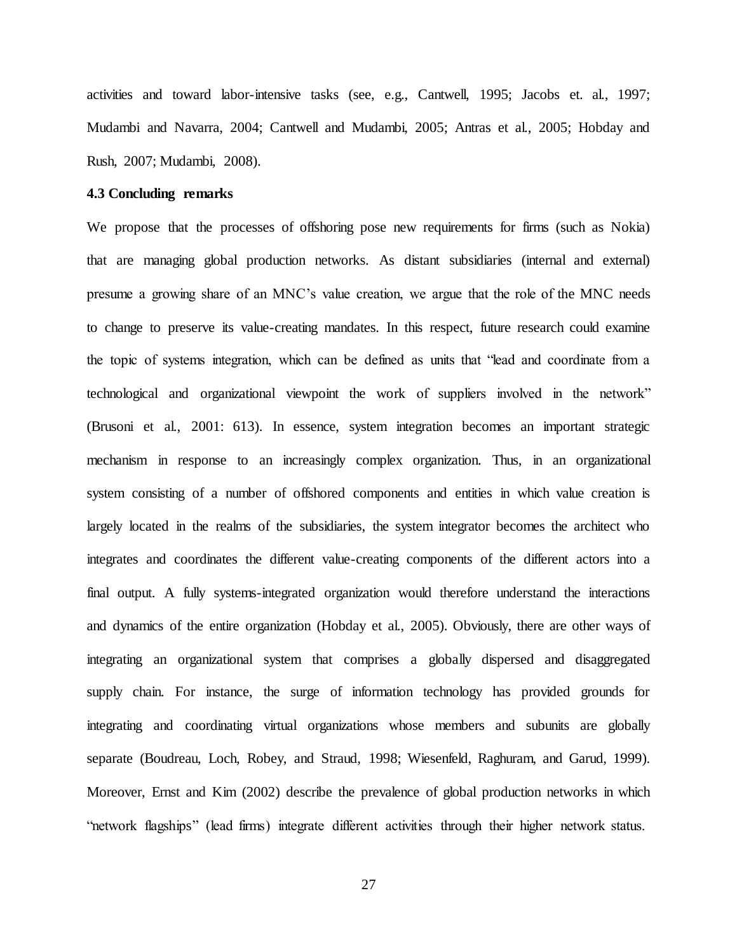activities and toward labor-intensive tasks (see, e.g., Cantwell, 1995; Jacobs et. al., 1997; Mudambi and Navarra, 2004; Cantwell and Mudambi, 2005; Antras et al., 2005; Hobday and Rush, 2007; Mudambi, 2008).

# **4.3 Concluding remarks**

We propose that the processes of offshoring pose new requirements for firms (such as Nokia) that are managing global production networks. As distant subsidiaries (internal and external) presume a growing share of an MNC's value creation, we argue that the role of the MNC needs to change to preserve its value-creating mandates. In this respect, future research could examine the topic of systems integration, which can be defined as units that "lead and coordinate from a technological and organizational viewpoint the work of suppliers involved in the network" (Brusoni et al., 2001: 613). In essence, system integration becomes an important strategic mechanism in response to an increasingly complex organization. Thus, in an organizational system consisting of a number of offshored components and entities in which value creation is largely located in the realms of the subsidiaries, the system integrator becomes the architect who integrates and coordinates the different value-creating components of the different actors into a final output. A fully systems-integrated organization would therefore understand the interactions and dynamics of the entire organization (Hobday et al., 2005). Obviously, there are other ways of integrating an organizational system that comprises a globally dispersed and disaggregated supply chain. For instance, the surge of information technology has provided grounds for integrating and coordinating virtual organizations whose members and subunits are globally separate (Boudreau, Loch, Robey, and Straud, 1998; Wiesenfeld, Raghuram, and Garud, 1999). Moreover, Ernst and Kim (2002) describe the prevalence of global production networks in which "network flagships" (lead firms) integrate different activities through their higher network status.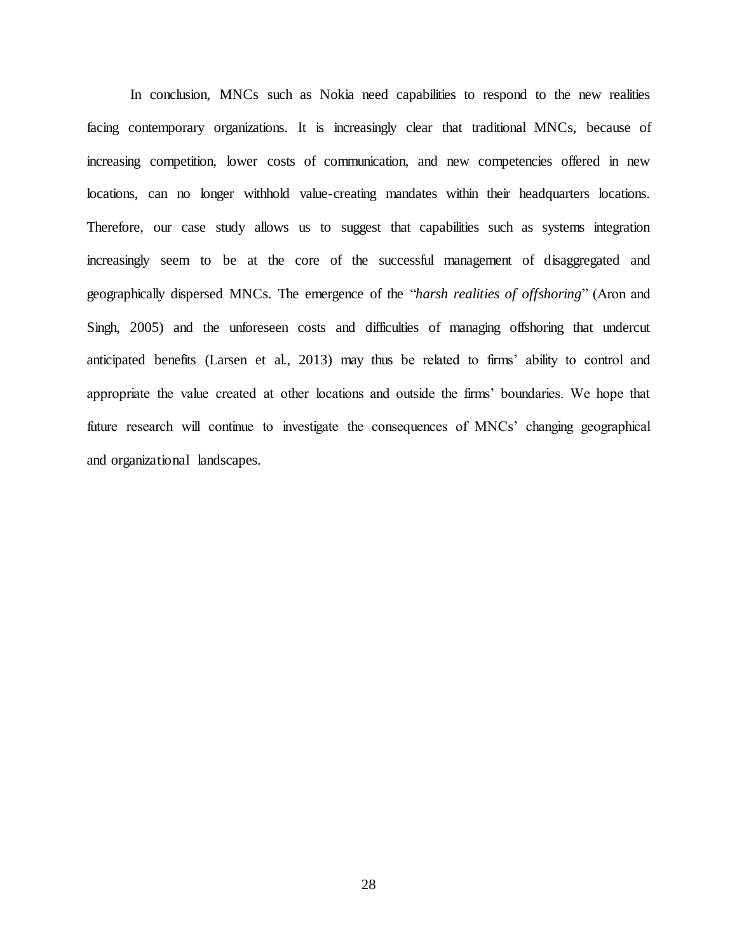In conclusion, MNCs such as Nokia need capabilities to respond to the new realities facing contemporary organizations. It is increasingly clear that traditional MNCs, because of increasing competition, lower costs of communication, and new competencies offered in new locations, can no longer withhold value-creating mandates within their headquarters locations. Therefore, our case study allows us to suggest that capabilities such as systems integration increasingly seem to be at the core of the successful management of disaggregated and geographically dispersed MNCs. The emergence of the "*harsh realities of offshoring*" (Aron and Singh, 2005) and the unforeseen costs and difficulties of managing offshoring that undercut anticipated benefits (Larsen et al., 2013) may thus be related to firms' ability to control and appropriate the value created at other locations and outside the firms' boundaries. We hope that future research will continue to investigate the consequences of MNCs' changing geographical and organizational landscapes.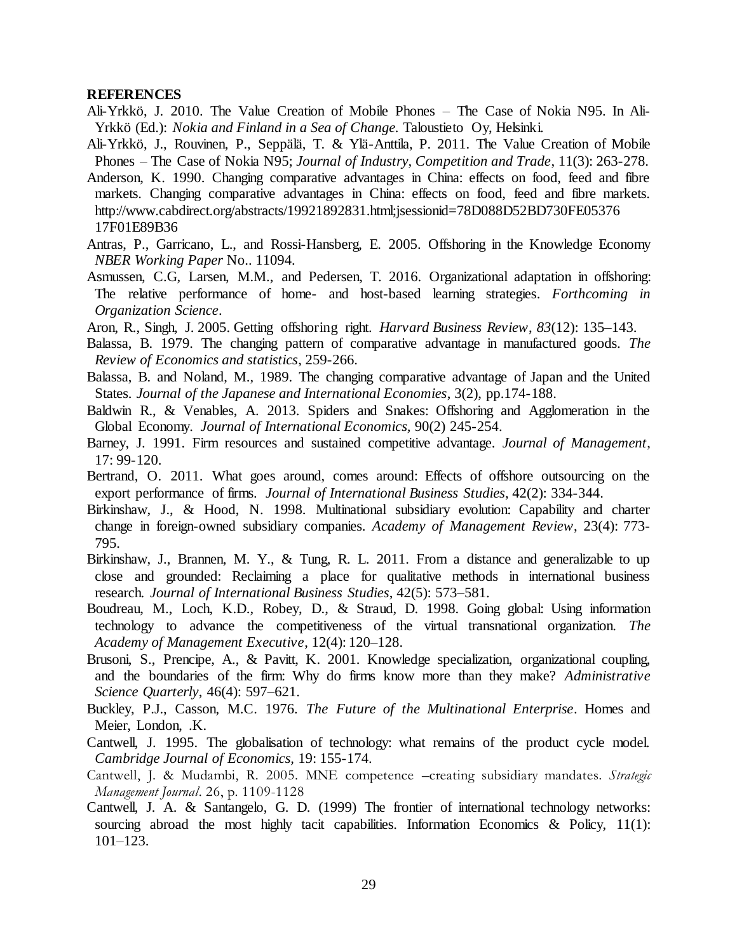#### **REFERENCES**

- Ali-Yrkkö, J. 2010. The Value Creation of Mobile Phones The Case of Nokia N95. In Ali-Yrkkö (Ed.): *Nokia and Finland in a Sea of Change.* Taloustieto Oy, Helsinki.
- Ali-Yrkkö, J., Rouvinen, P., Seppälä, T. & Ylä-Anttila, P. 2011. The Value Creation of Mobile Phones – The Case of Nokia N95; *Journal of Industry, Competition and Trade*, 11(3): 263-278.
- Anderson, K. 1990. Changing comparative advantages in China: effects on food, feed and fibre markets. Changing comparative advantages in China: effects on food, feed and fibre markets. http://www.cabdirect.org/abstracts/19921892831.html;jsessionid=78D088D52BD730FE05376 17F01E89B36
- Antras, P., Garricano, L., and Rossi-Hansberg, E. 2005. Offshoring in the Knowledge Economy *NBER Working Paper* No.. 11094.
- Asmussen, C.G, Larsen, M.M., and Pedersen, T. 2016. Organizational adaptation in offshoring: The relative performance of home- and host-based learning strategies. *Forthcoming in Organization Science*.
- Aron, R., Singh, J. 2005. Getting offshoring right. *Harvard Business Review*, *83*(12): 135–143.
- Balassa, B. 1979. The changing pattern of comparative advantage in manufactured goods. *The Review of Economics and statistics*, 259-266.
- Balassa, B. and Noland, M., 1989. The changing comparative advantage of Japan and the United States. *Journal of the Japanese and International Economies*, 3(2), pp.174-188.
- Baldwin R., & Venables, A. 2013. Spiders and Snakes: Offshoring and Agglomeration in the Global Economy. *Journal of International Economics,* 90(2) 245-254.
- Barney, J. 1991. Firm resources and sustained competitive advantage. *Journal of Management*, 17: 99-120.
- Bertrand, O. 2011. What goes around, comes around: Effects of offshore outsourcing on the export performance of firms. *Journal of International Business Studies*, 42(2): 334-344.
- Birkinshaw, J., & Hood, N. 1998. Multinational subsidiary evolution: Capability and charter change in foreign-owned subsidiary companies. *Academy of Management Review*, 23(4): 773- 795.
- Birkinshaw, J., Brannen, M. Y., & Tung, R. L. 2011. From a distance and generalizable to up close and grounded: Reclaiming a place for qualitative methods in international business research. *Journal of International Business Studies*, 42(5): 573–581.
- Boudreau, M., Loch, K.D., Robey, D., & Straud, D. 1998. Going global: Using information technology to advance the competitiveness of the virtual transnational organization. *The Academy of Management Executive*, 12(4): 120–128.
- Brusoni, S., Prencipe, A., & Pavitt, K. 2001. Knowledge specialization, organizational coupling, and the boundaries of the firm: Why do firms know more than they make? *Administrative Science Quarterly*, 46(4): 597–621.
- Buckley, P.J., Casson, M.C. 1976. *The Future of the Multinational Enterprise*. Homes and Meier, London, .K.
- Cantwell, J. 1995. The globalisation of technology: what remains of the product cycle model. *Cambridge Journal of Economics,* 19: 155-174.
- Cantwell, J. & Mudambi, R. 2005. MNE competence –creating subsidiary mandates. *Strategic Management Journal*. 26, p. 1109-1128
- Cantwell, J. A. & Santangelo, G. D. (1999) The frontier of international technology networks: sourcing abroad the most highly tacit capabilities. Information Economics & Policy, 11(1): 101–123.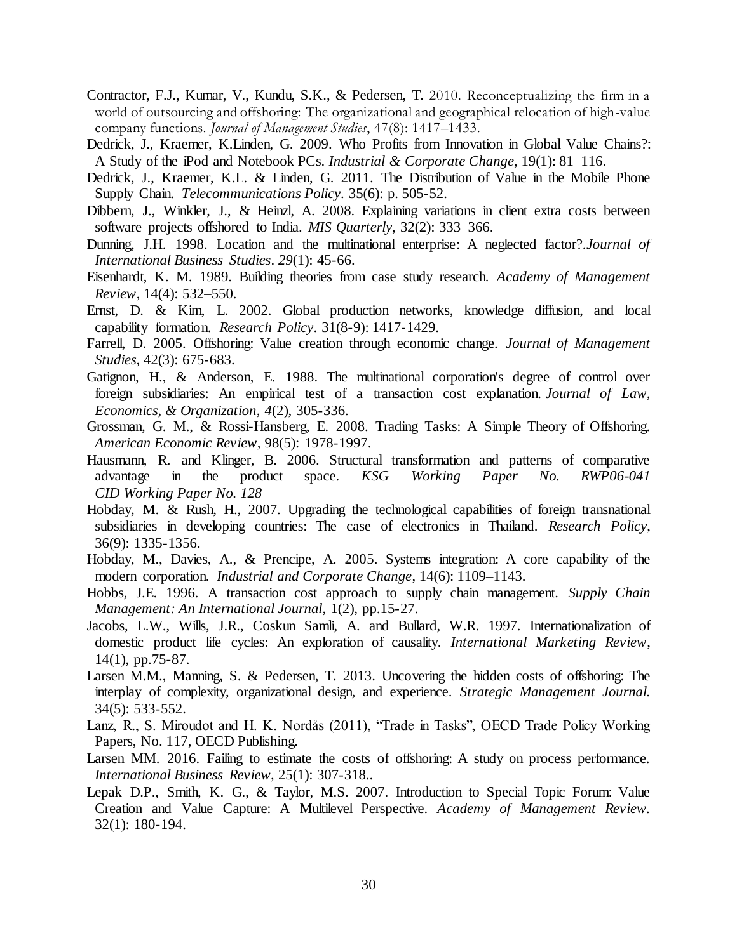- Contractor, F.J., Kumar, V., Kundu, S.K., & Pedersen, T. 2010. Reconceptualizing the firm in a world of outsourcing and offshoring: The organizational and geographical relocation of high-value company functions. *Journal of Management Studies*, 47(8): 1417–1433.
- Dedrick, J., Kraemer, K.Linden, G. 2009. Who Profits from Innovation in Global Value Chains?: A Study of the iPod and Notebook PCs. *Industrial & Corporate Change*, 19(1): 81–116.
- Dedrick, J., Kraemer, K.L. & Linden, G. 2011. The Distribution of Value in the Mobile Phone Supply Chain. *Telecommunications Policy*. 35(6): p. 505-52.
- Dibbern, J., Winkler, J., & Heinzl, A. 2008. Explaining variations in client extra costs between software projects offshored to India. *MIS Quarterly*, 32(2): 333–366.
- Dunning, J.H. 1998. Location and the multinational enterprise: A neglected factor?.*Journal of International Business Studies*. *29*(1): 45-66.
- Eisenhardt, K. M. 1989. Building theories from case study research. *Academy of Management Review*, 14(4): 532–550.
- Ernst, D. & Kim, L. 2002. Global production networks, knowledge diffusion, and local capability formation. *Research Policy*. 31(8-9): 1417-1429.
- Farrell, D. 2005. Offshoring: Value creation through economic change. *Journal of Management Studies,* 42(3): 675-683.
- Gatignon, H., & Anderson, E. 1988. The multinational corporation's degree of control over foreign subsidiaries: An empirical test of a transaction cost explanation. *Journal of Law, Economics, & Organization*, *4*(2), 305-336.
- Grossman, G. M., & Rossi-Hansberg, E. 2008. Trading Tasks: A Simple Theory of Offshoring. *American Economic Review,* 98(5): 1978-1997.
- Hausmann, R. and Klinger, B. 2006. Structural transformation and patterns of comparative advantage in the product space. *KSG Working Paper No. RWP06-041 CID Working Paper No. 128*
- Hobday, M. & Rush, H., 2007. Upgrading the technological capabilities of foreign transnational subsidiaries in developing countries: The case of electronics in Thailand. *Research Policy*, 36(9): 1335-1356.
- Hobday, M., Davies, A., & Prencipe, A. 2005. Systems integration: A core capability of the modern corporation. *Industrial and Corporate Change*, 14(6): 1109–1143.
- Hobbs, J.E. 1996. A transaction cost approach to supply chain management. *Supply Chain Management: An International Journal*, 1(2), pp.15-27.
- Jacobs, L.W., Wills, J.R., Coskun Samli, A. and Bullard, W.R. 1997. Internationalization of domestic product life cycles: An exploration of causality. *International Marketing Review*, 14(1), pp.75-87.
- Larsen M.M., Manning, S. & Pedersen, T. 2013. Uncovering the hidden costs of offshoring: The interplay of complexity, organizational design, and experience. *Strategic Management Journal.* 34(5): 533-552.
- Lanz, R., S. Miroudot and H. K. Nordås (2011), "Trade in Tasks", OECD Trade Policy Working Papers, No. 117, OECD Publishing.
- Larsen MM. 2016. Failing to estimate the costs of offshoring: A study on process performance. *International Business Review,* 25(1): 307-318..
- Lepak D.P., Smith, K. G., & Taylor, M.S. 2007. Introduction to Special Topic Forum: Value Creation and Value Capture: A Multilevel Perspective. *Academy of Management Review.*  32(1): 180-194.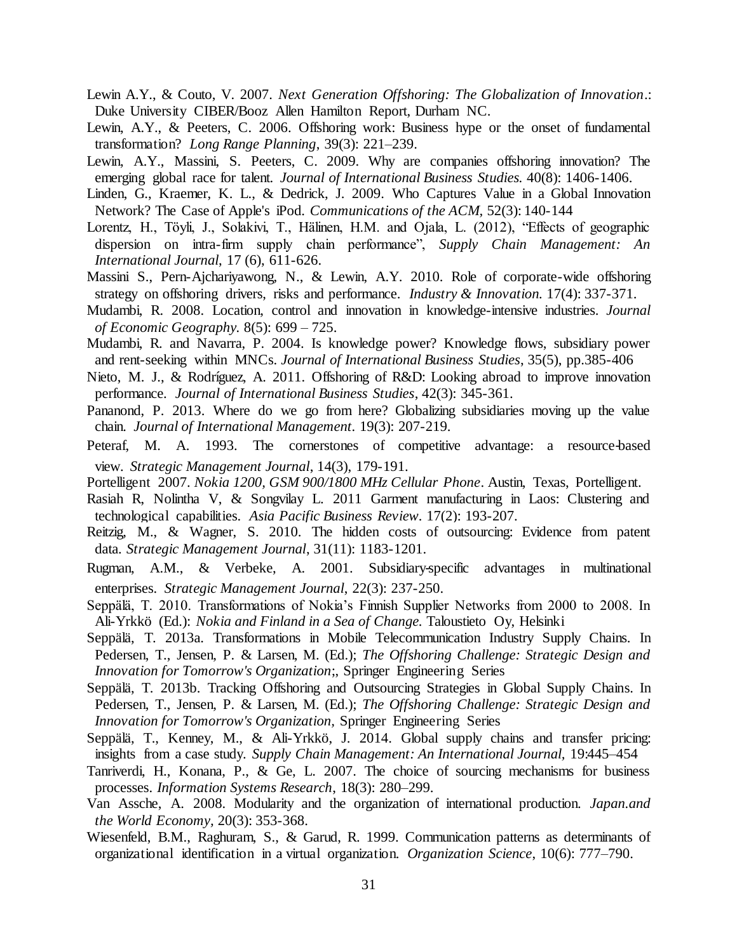- Lewin A.Y., & Couto, V. 2007. *Next Generation Offshoring: The Globalization of Innovation*.: Duke University CIBER/Booz Allen Hamilton Report, Durham NC.
- Lewin, A.Y., & Peeters, C. 2006. Offshoring work: Business hype or the onset of fundamental transformation? *Long Range Planning*, 39(3): 221–239.
- Lewin, A.Y., Massini, S. Peeters, C. 2009. Why are companies offshoring innovation? The emerging global race for talent. *Journal of International Business Studies.* 40(8): 1406-1406.
- Linden, G., Kraemer, K. L., & Dedrick, J. 2009. Who Captures Value in a Global Innovation Network? The Case of Apple's iPod. *Communications of the ACM,* 52(3): 140-144
- Lorentz, H., Töyli, J., Solakivi, T., Hälinen, H.M. and Ojala, L. (2012), "Effects of geographic dispersion on intra-firm supply chain performance", *Supply Chain Management: An International Journal*, 17 (6), 611-626.
- Massini S., Pern-Ajchariyawong, N., & Lewin, A.Y. 2010. Role of corporate-wide offshoring strategy on offshoring drivers, risks and performance. *Industry & Innovation.* 17(4): 337-371.
- Mudambi, R. 2008. Location, control and innovation in knowledge-intensive industries. *Journal of Economic Geography.* 8(5): 699 – 725.
- Mudambi, R. and Navarra, P. 2004. Is knowledge power? Knowledge flows, subsidiary power and rent-seeking within MNCs. *Journal of International Business Studies*, 35(5), pp.385-406
- Nieto, M. J., & Rodríguez, A. 2011. Offshoring of R&D: Looking abroad to improve innovation performance. *Journal of International Business Studies*, 42(3): 345-361.
- Pananond, P. 2013. Where do we go from here? Globalizing subsidiaries moving up the value chain. *Journal of International Management.* 19(3): 207-219.
- Peteraf, M. A. 1993. The cornerstones of competitive advantage: a resource-based view. *Strategic Management Journal*, 14(3), 179-191.
- Portelligent 2007. *Nokia 1200, GSM 900/1800 MHz Cellular Phone*. Austin, Texas, Portelligent.
- Rasiah R, Nolintha V, & Songvilay L. 2011 Garment manufacturing in Laos: Clustering and technological capabilities. *Asia Pacific Business Review.* 17(2): 193-207.
- Reitzig, M., & Wagner, S. 2010. The hidden costs of outsourcing: Evidence from patent data. *Strategic Management Journal*, 31(11): 1183-1201.
- Rugman, A.M., & Verbeke, A. 2001. Subsidiary‐specific advantages in multinational enterprises. *Strategic Management Journal*, 22(3): 237-250.
- Seppälä, T. 2010. Transformations of Nokia's Finnish Supplier Networks from 2000 to 2008. In Ali-Yrkkö (Ed.): *Nokia and Finland in a Sea of Change.* Taloustieto Oy, Helsinki
- Seppälä, T. 2013a. Transformations in Mobile Telecommunication Industry Supply Chains. In Pedersen, T., Jensen, P. & Larsen, M. (Ed.); *The Offshoring Challenge: Strategic Design and Innovation for Tomorrow's Organization*;, Springer Engineering Series
- Seppälä, T. 2013b. Tracking Offshoring and Outsourcing Strategies in Global Supply Chains. In Pedersen, T., Jensen, P. & Larsen, M. (Ed.); *The Offshoring Challenge: Strategic Design and Innovation for Tomorrow's Organization,* Springer Engineering Series
- Seppälä, T., Kenney, M., & Ali-Yrkkö, J. 2014. Global supply chains and transfer pricing: insights from a case study. *Supply Chain Management: An International Journal,* 19:445–454
- Tanriverdi, H., Konana, P., & Ge, L. 2007. The choice of sourcing mechanisms for business processes. *Information Systems Research*, 18(3): 280–299.
- Van Assche, A. 2008. Modularity and the organization of international production. *Japan.and the World Economy,* 20(3): 353-368.
- Wiesenfeld, B.M., Raghuram, S., & Garud, R. 1999. Communication patterns as determinants of organizational identification in a virtual organization. *Organization Science*, 10(6): 777–790.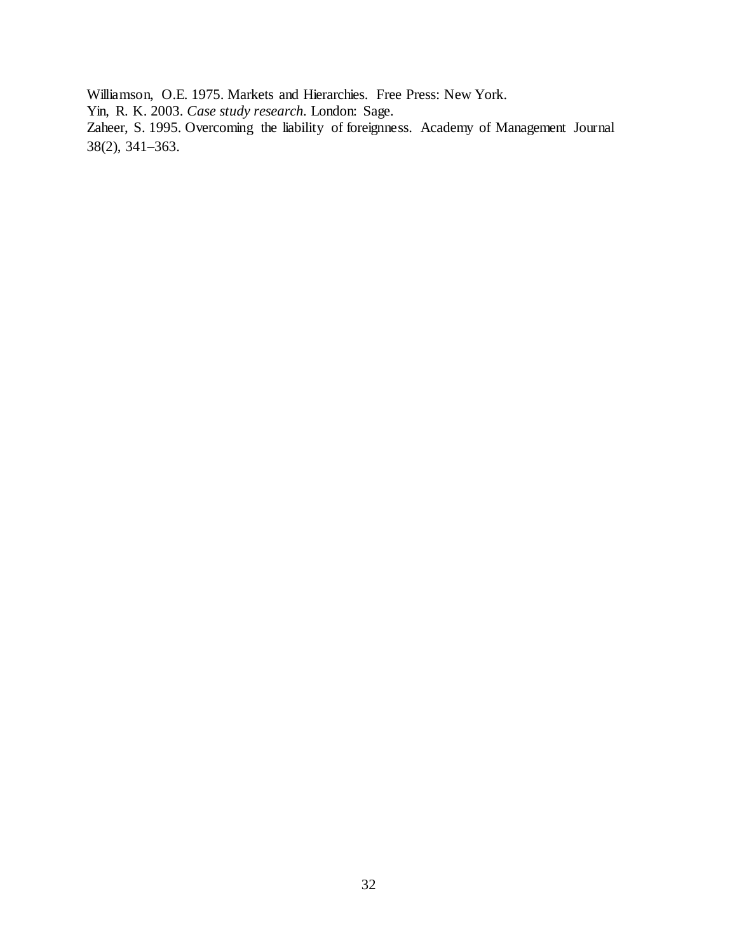Williamson, O.E. 1975. Markets and Hierarchies. Free Press: New York.

Yin, R. K. 2003. *Case study research.* London: Sage.

Zaheer, S. 1995. Overcoming the liability of foreignness. Academy of Management Journal 38(2), 341–363.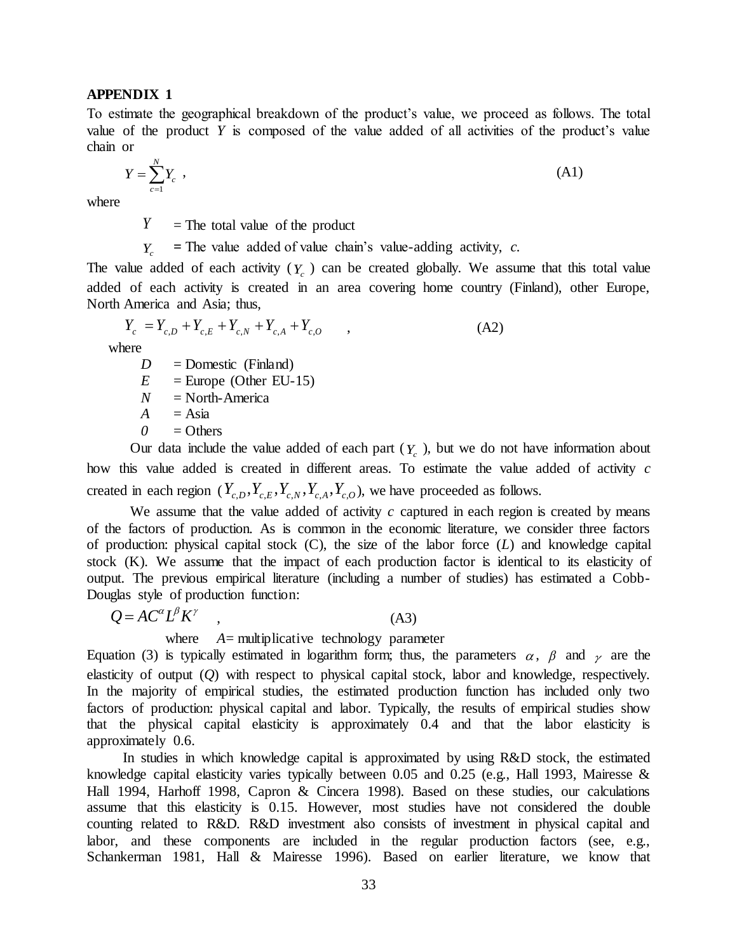# **APPENDIX 1**

To estimate the geographical breakdown of the product's value, we proceed as follows. The total value of the product *Y* is composed of the value added of all activities of the product's value chain or

$$
Y = \sum_{c=1}^{N} Y_c \tag{A1}
$$

where

*Y*  $=$  The total value of the product

*Y*<sub>c</sub> **=** The value added of value chain's value-adding activity, *c.*

The value added of each activity  $(Y_c)$  can be created globally. We assume that this total value added of each activity is created in an area covering home country (Finland), other Europe, North America and Asia; thus,

 $Y_c = Y_{c,D} + Y_{c,E} + Y_{c,N} + Y_{c,A} + Y_{c,O}$  $(A2)$ 

where

 $D =$  Domestic (Finland)

 $E =$ Europe (Other EU-15)

 $N =$  North-America

 $A = Asia$ 

 $0 =$ Others

Our data include the value added of each part  $(Y_c)$ , but we do not have information about how this value added is created in different areas. To estimate the value added of activity *c*  created in each region  $(Y_{c,D}, Y_{c,E}, Y_{c,N}, Y_{c,A}, Y_{c,O})$ , we have proceeded as follows.

We assume that the value added of activity  $c$  captured in each region is created by means of the factors of production. As is common in the economic literature, we consider three factors of production: physical capital stock (C), the size of the labor force (*L*) and knowledge capital stock (K). We assume that the impact of each production factor is identical to its elasticity of output. The previous empirical literature (including a number of studies) has estimated a Cobb-Douglas style of production function:

 $Q = AC^{\alpha}L^{\beta}K^{\gamma}$ , (A3)

where *A*= multiplicative technology parameter

Equation (3) is typically estimated in logarithm form; thus, the parameters  $\alpha$ ,  $\beta$  and  $\gamma$  are the elasticity of output (*Q*) with respect to physical capital stock, labor and knowledge, respectively. In the majority of empirical studies, the estimated production function has included only two factors of production: physical capital and labor. Typically, the results of empirical studies show that the physical capital elasticity is approximately 0.4 and that the labor elasticity is approximately 0.6.

In studies in which knowledge capital is approximated by using R&D stock, the estimated knowledge capital elasticity varies typically between 0.05 and 0.25 (e.g., Hall 1993, Mairesse & Hall 1994, Harhoff 1998, Capron & Cincera 1998). Based on these studies, our calculations assume that this elasticity is 0.15. However, most studies have not considered the double counting related to R&D. R&D investment also consists of investment in physical capital and labor, and these components are included in the regular production factors (see, e.g., Schankerman 1981, Hall & Mairesse 1996). Based on earlier literature, we know that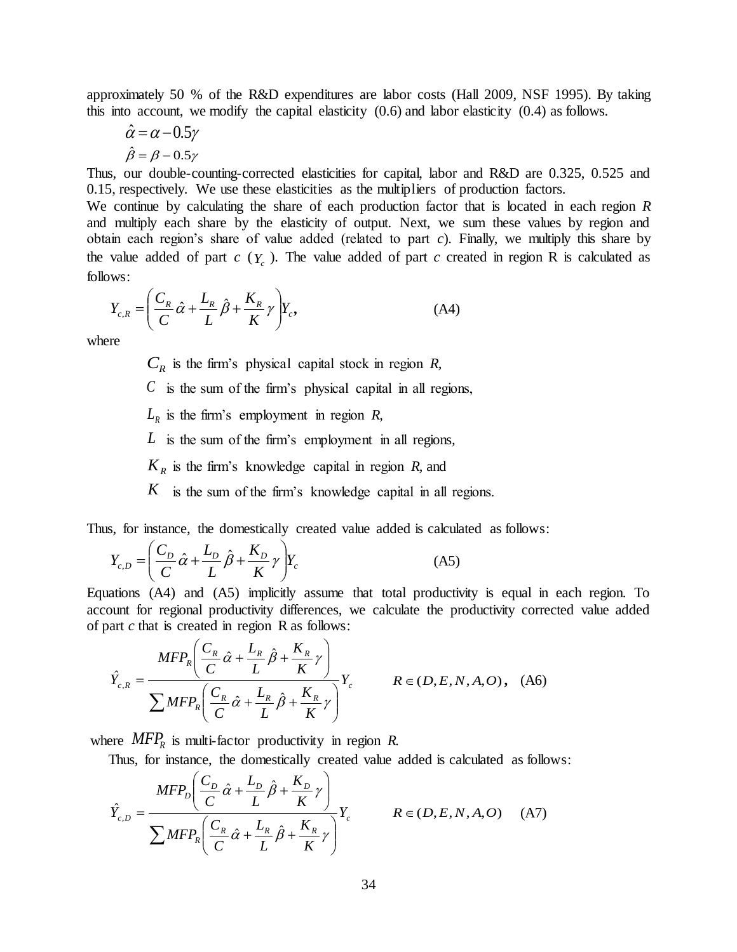approximately 50 % of the R&D expenditures are labor costs (Hall 2009, NSF 1995). By taking this into account, we modify the capital elasticity (0.6) and labor elasticity (0.4) as follows.

$$
\hat{\alpha} = \alpha - 0.5\gamma
$$

$$
\hat{\beta} = \beta - 0.5\gamma
$$

Thus, our double-counting-corrected elasticities for capital, labor and R&D are 0.325, 0.525 and 0.15, respectively. We use these elasticities as the multipliers of production factors.

We continue by calculating the share of each production factor that is located in each region *R* and multiply each share by the elasticity of output. Next, we sum these values by region and obtain each region's share of value added (related to part *c*). Finally, we multiply this share by the value added of part  $c(Y_c)$ . The value added of part  $c$  created in region R is calculated as follows:

$$
Y_{c,R} = \left(\frac{C_R}{C}\hat{\alpha} + \frac{L_R}{L}\hat{\beta} + \frac{K_R}{K}\gamma\right)Y_c,
$$
\n(A4)

where

 $C_R$  is the firm's physical capital stock in region *R*,

*C* is the sum of the firm's physical capital in all regions,

 $L_R$  is the firm's employment in region *R*,

*L* is the sum of the firm's employment in all regions*,*

 $K_R$  is the firm's knowledge capital in region *R*, and

*K* is the sum of the firm's knowledge capital in all regions.

Thus, for instance, the domestically created value added is calculated as follows:

$$
Y_{c,D} = \left(\frac{C_D}{C}\hat{\alpha} + \frac{L_D}{L}\hat{\beta} + \frac{K_D}{K}\gamma\right)Y_c
$$
 (A5)

Equations (A4) and (A5) implicitly assume that total productivity is equal in each region. To account for regional productivity differences, we calculate the productivity corrected value added of part *c* that is created in region R as follows:

$$
\hat{Y}_{c,R} = \frac{MFP_R \left( \frac{C_R}{C} \hat{\alpha} + \frac{L_R}{L} \hat{\beta} + \frac{K_R}{K} \gamma \right)}{\sum MFP_R \left( \frac{C_R}{C} \hat{\alpha} + \frac{L_R}{L} \hat{\beta} + \frac{K_R}{K} \gamma \right)} Y_c \qquad R \in (D, E, N, A, O), \quad (A6)
$$

where *MFP<sup>R</sup>* is multi-factor productivity in region *R.*

Thus, for instance, the domestically created value added is calculated as follows:

$$
\hat{Y}_{c,D} = \frac{MFP_D \left( \frac{C_D}{C} \hat{\alpha} + \frac{L_D}{L} \hat{\beta} + \frac{K_D}{K} \gamma \right)}{\sum MFP_R \left( \frac{C_R}{C} \hat{\alpha} + \frac{L_R}{L} \hat{\beta} + \frac{K_R}{K} \gamma \right)} Y_c \qquad R \in (D, E, N, A, O) \quad (A7)
$$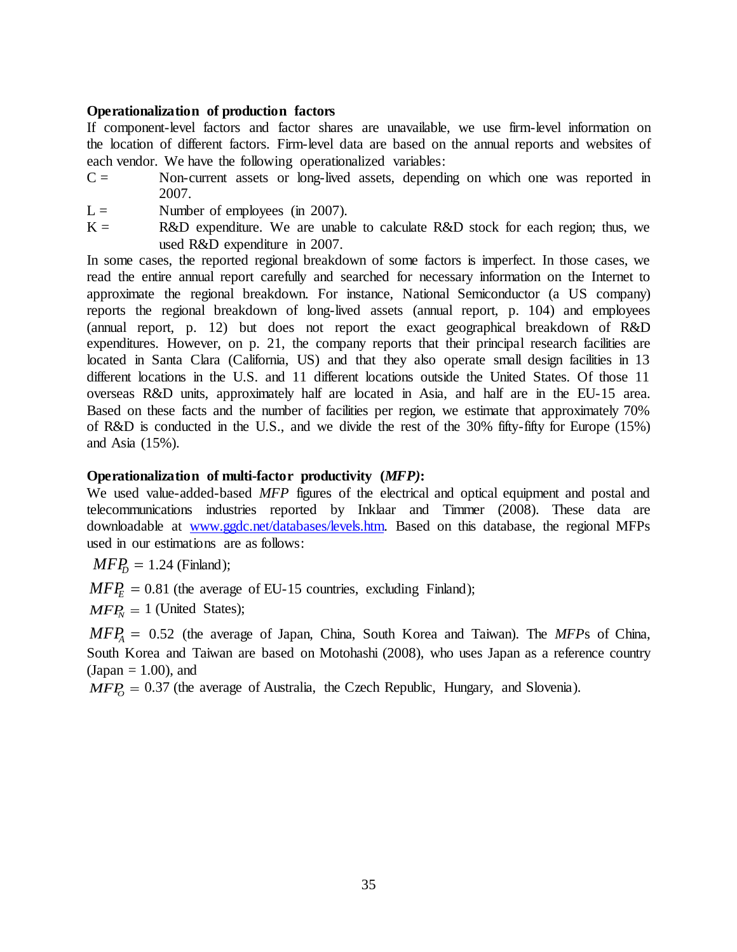# **Operationalization of production factors**

If component-level factors and factor shares are unavailable, we use firm-level information on the location of different factors. Firm-level data are based on the annual reports and websites of each vendor. We have the following operationalized variables:

- $C =$  Non-current assets or long-lived assets, depending on which one was reported in 2007.
- $L =$  Number of employees (in 2007).
- $K =$  R&D expenditure. We are unable to calculate R&D stock for each region; thus, we used R&D expenditure in 2007.

In some cases, the reported regional breakdown of some factors is imperfect. In those cases, we read the entire annual report carefully and searched for necessary information on the Internet to approximate the regional breakdown. For instance, National Semiconductor (a US company) reports the regional breakdown of long-lived assets (annual report, p. 104) and employees (annual report, p. 12) but does not report the exact geographical breakdown of R&D expenditures. However, on p. 21, the company reports that their principal research facilities are located in Santa Clara (California, US) and that they also operate small design facilities in 13 different locations in the U.S. and 11 different locations outside the United States. Of those 11 overseas R&D units, approximately half are located in Asia, and half are in the EU-15 area. Based on these facts and the number of facilities per region, we estimate that approximately 70% of R&D is conducted in the U.S., and we divide the rest of the 30% fifty-fifty for Europe (15%) and Asia (15%).

# **Operationalization of multi-factor productivity (***MFP)***:**

We used value-added-based *MFP* figures of the electrical and optical equipment and postal and telecommunications industries reported by Inklaar and Timmer (2008). These data are downloadable at [www.ggdc.net/databases/levels.htm. B](http://www.ggdc.net/databases/levels.htm)ased on this database, the regional MFPs used in our estimations are as follows:

 $MFP<sub>D</sub> = 1.24$  (Finland);

 $MFP<sub>E</sub> = 0.81$  (the average of EU-15 countries, excluding Finland);

 $MFP<sub>N</sub> = 1$  (United States);

*MFP<sup>A</sup>* 0.52 (the average of Japan, China, South Korea and Taiwan). The *MFP*s of China, South Korea and Taiwan are based on Motohashi (2008), who uses Japan as a reference country  $(Japan = 1.00)$ , and

 $MFP<sub>O</sub> = 0.37$  (the average of Australia, the Czech Republic, Hungary, and Slovenia).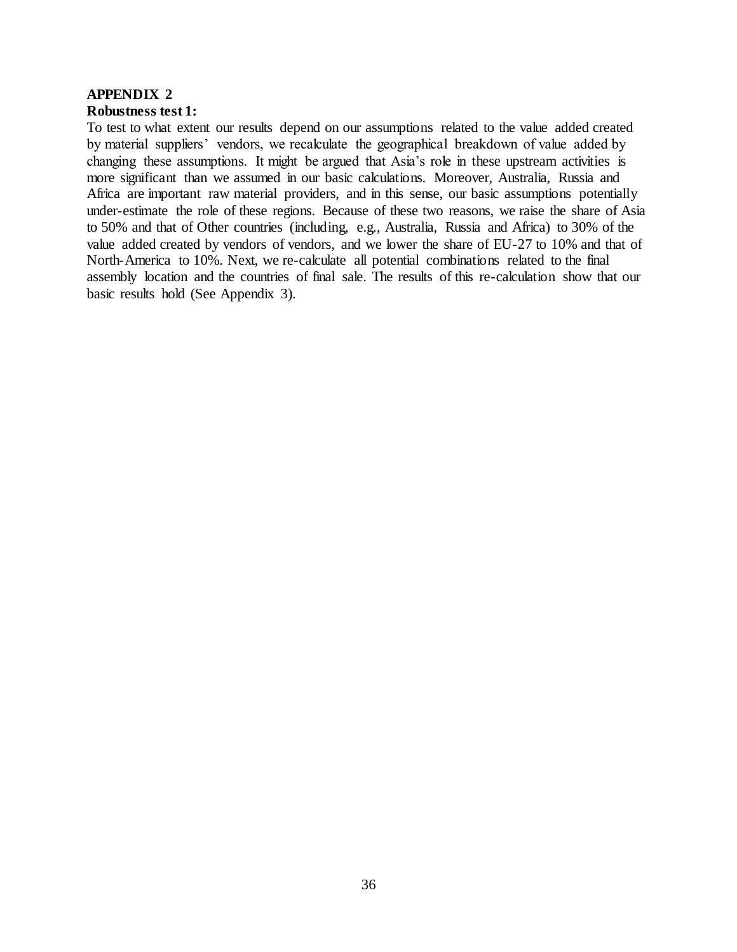# **APPENDIX 2 Robustness test 1:**

To test to what extent our results depend on our assumptions related to the value added created by material suppliers' vendors, we recalculate the geographical breakdown of value added by changing these assumptions. It might be argued that Asia's role in these upstream activities is more significant than we assumed in our basic calculations. Moreover, Australia, Russia and Africa are important raw material providers, and in this sense, our basic assumptions potentially under-estimate the role of these regions. Because of these two reasons, we raise the share of Asia to 50% and that of Other countries (including, e.g., Australia, Russia and Africa) to 30% of the value added created by vendors of vendors, and we lower the share of EU-27 to 10% and that of North-America to 10%. Next, we re-calculate all potential combinations related to the final assembly location and the countries of final sale. The results of this re-calculation show that our basic results hold (See Appendix 3).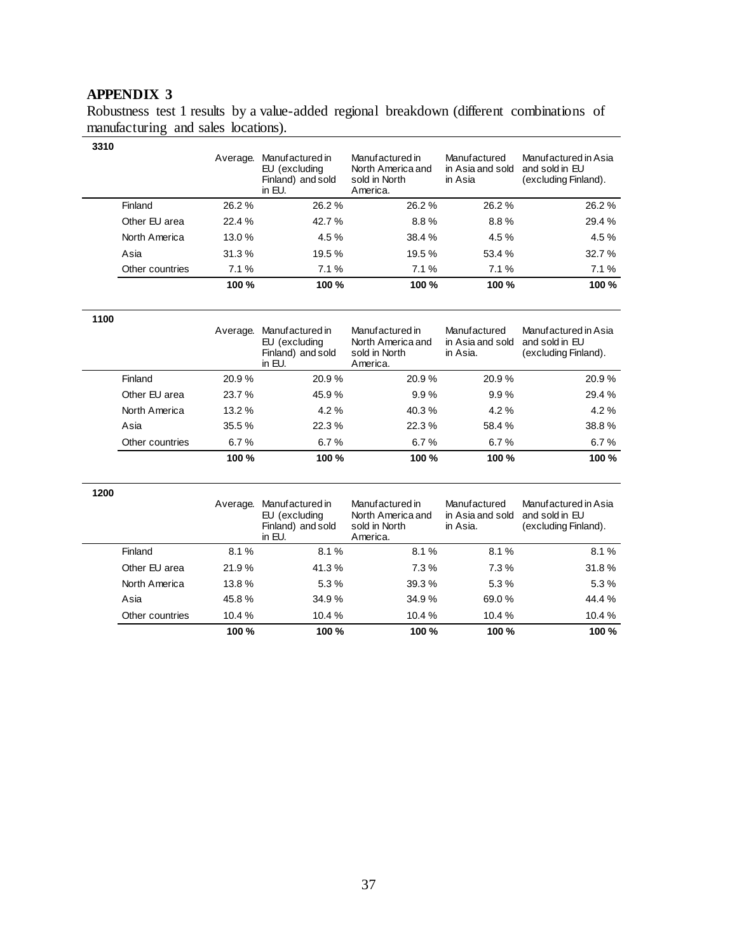# **APPENDIX 3**

Robustness test 1 results by a value-added regional breakdown (different combinations of manufacturing and sales locations).

| 3310            | Average. | Manufactured in<br>EU (excluding<br>Finland) and sold<br>in EU. | Manufactured in<br>North America and<br>sold in North<br>America. | Manufactured<br>in Asia and sold<br>in Asia | Manufactured in Asia<br>and sold in EU<br>(excluding Finland). |
|-----------------|----------|-----------------------------------------------------------------|-------------------------------------------------------------------|---------------------------------------------|----------------------------------------------------------------|
| Finland         | 26.2 %   | 26.2%                                                           | 26.2%                                                             | 26.2%                                       | 26.2%                                                          |
| Other EU area   | 22.4%    | 42.7%                                                           | $8.8\%$                                                           | 8.8%                                        | 29.4 %                                                         |
| North America   | 13.0%    | 4.5 %                                                           | 38.4%                                                             | 4.5 %                                       | 4.5 %                                                          |
| Asia            | 31.3%    | 19.5 %                                                          | 19.5 %                                                            | 53.4 %                                      | 32.7%                                                          |
| Other countries | 7.1%     | 7.1%                                                            | 7.1%                                                              | 7.1%                                        | 7.1%                                                           |
|                 | 100 %    | 100 %                                                           | 100 %                                                             | 100 %                                       | 100 %                                                          |

| 1100 |                 | Average. | Manufactured in<br>EU (excluding<br>Finland) and sold<br>in EU. | Manufactured in<br>North America and<br>sold in North<br>America. | Manufactured<br>in Asia and sold<br>in Asia. | Manufactured in Asia<br>and sold in EU<br>(excluding Finland). |
|------|-----------------|----------|-----------------------------------------------------------------|-------------------------------------------------------------------|----------------------------------------------|----------------------------------------------------------------|
|      | Finland         | 20.9%    | 20.9%                                                           | 20.9%                                                             | 20.9%                                        | 20.9%                                                          |
|      | Other EU area   | 23.7%    | 45.9%                                                           | 9.9%                                                              | 9.9%                                         | 29.4 %                                                         |
|      | North America   | 13.2%    | $4.2\%$                                                         | 40.3%                                                             | 4.2%                                         | $4.2\%$                                                        |
|      | Asia            | 35.5 %   | 22.3%                                                           | 22.3%                                                             | 58.4 %                                       | 38.8%                                                          |
|      | Other countries | 6.7%     | 6.7%                                                            | 6.7%                                                              | 6.7%                                         | 6.7%                                                           |
|      |                 | 100 %    | 100 %                                                           | 100 %                                                             | 100 %                                        | 100 %                                                          |

| 1200 |                 | Average. | Manufactured in<br>EU (excluding<br>Finland) and sold<br>in EU. | Manufactured in<br>North America and<br>sold in North<br>America. | Manufactured<br>in Asia and sold<br>in Asia. | Manufactured in Asia<br>and sold in EU<br>(excluding Finland). |
|------|-----------------|----------|-----------------------------------------------------------------|-------------------------------------------------------------------|----------------------------------------------|----------------------------------------------------------------|
|      | Finland         | 8.1%     | 8.1%                                                            | 8.1%                                                              | 8.1%                                         | 8.1%                                                           |
|      | Other EU area   | 21.9%    | 41.3%                                                           | 7.3%                                                              | 7.3%                                         | 31.8%                                                          |
|      | North America   | 13.8%    | 5.3%                                                            | 39.3%                                                             | 5.3%                                         | 5.3%                                                           |
|      | Asia            | 45.8%    | 34.9%                                                           | 34.9%                                                             | 69.0%                                        | 44.4 %                                                         |
|      | Other countries | 10.4 %   | 10.4 %                                                          | 10.4%                                                             | 10.4 %                                       | 10.4 %                                                         |
|      |                 | 100 %    | 100 %                                                           | 100 %                                                             | 100 %                                        | 100 %                                                          |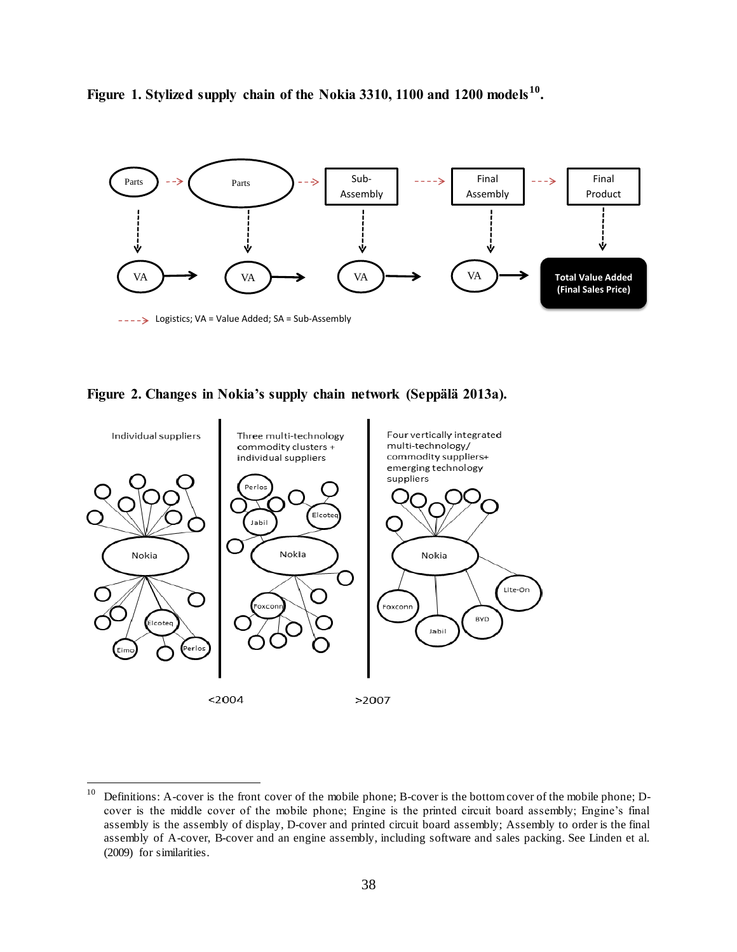



**Figure 2. Changes in Nokia's supply chain network (Seppälä 2013a).**



 $10\,$ <sup>10</sup> Definitions: A-cover is the front cover of the mobile phone; B-cover is the bottom cover of the mobile phone; Dcover is the middle cover of the mobile phone; Engine is the printed circuit board assembly; Engine's final assembly is the assembly of display, D-cover and printed circuit board assembly; Assembly to order is the final assembly of A-cover, B-cover and an engine assembly, including software and sales packing. See Linden et al. (2009) for similarities.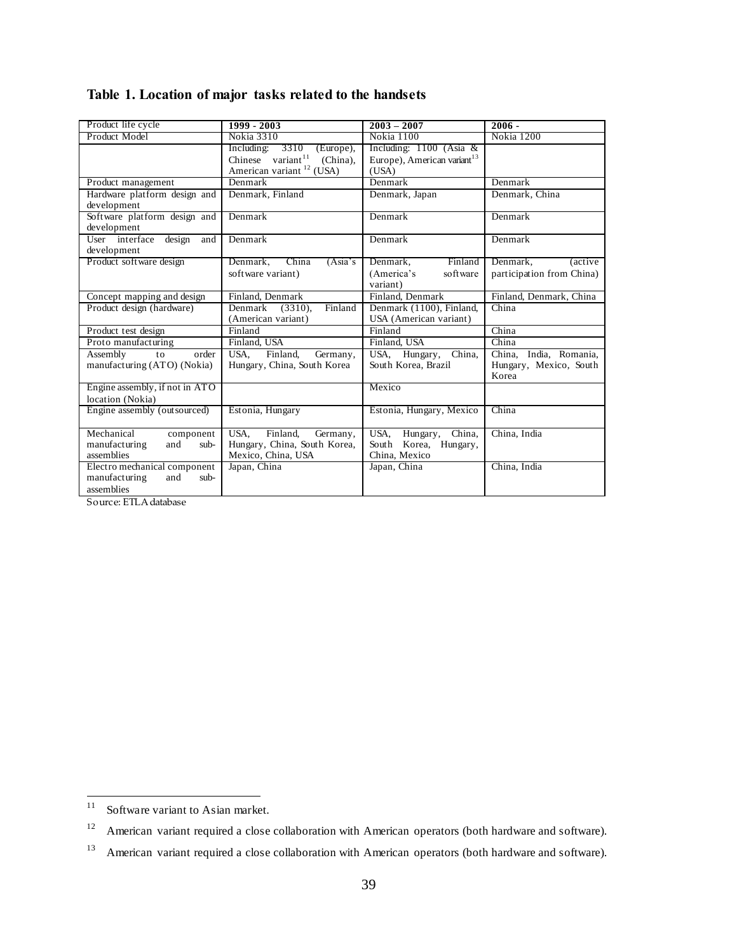| Table 1. Location of major tasks related to the handsets |  |  |  |  |
|----------------------------------------------------------|--|--|--|--|
|----------------------------------------------------------|--|--|--|--|

| 1999 - 2003                     | $2003 - 2007$                                                                                                                                                                                                                                                                                                                                                                                                            | $2006 -$                                                                                                                                                                                                                                                                                                                                                      |
|---------------------------------|--------------------------------------------------------------------------------------------------------------------------------------------------------------------------------------------------------------------------------------------------------------------------------------------------------------------------------------------------------------------------------------------------------------------------|---------------------------------------------------------------------------------------------------------------------------------------------------------------------------------------------------------------------------------------------------------------------------------------------------------------------------------------------------------------|
| Nokia 3310                      | Nokia 1100                                                                                                                                                                                                                                                                                                                                                                                                               | Nokia 1200                                                                                                                                                                                                                                                                                                                                                    |
| 3310<br>Including:<br>(Europe), | Including: $1100$ (Asia &                                                                                                                                                                                                                                                                                                                                                                                                |                                                                                                                                                                                                                                                                                                                                                               |
| (China),                        |                                                                                                                                                                                                                                                                                                                                                                                                                          |                                                                                                                                                                                                                                                                                                                                                               |
|                                 |                                                                                                                                                                                                                                                                                                                                                                                                                          |                                                                                                                                                                                                                                                                                                                                                               |
|                                 |                                                                                                                                                                                                                                                                                                                                                                                                                          | Denmark                                                                                                                                                                                                                                                                                                                                                       |
|                                 |                                                                                                                                                                                                                                                                                                                                                                                                                          | Denmark, China                                                                                                                                                                                                                                                                                                                                                |
|                                 |                                                                                                                                                                                                                                                                                                                                                                                                                          |                                                                                                                                                                                                                                                                                                                                                               |
|                                 |                                                                                                                                                                                                                                                                                                                                                                                                                          | Denmark                                                                                                                                                                                                                                                                                                                                                       |
|                                 |                                                                                                                                                                                                                                                                                                                                                                                                                          |                                                                                                                                                                                                                                                                                                                                                               |
|                                 |                                                                                                                                                                                                                                                                                                                                                                                                                          | Denmark                                                                                                                                                                                                                                                                                                                                                       |
|                                 |                                                                                                                                                                                                                                                                                                                                                                                                                          |                                                                                                                                                                                                                                                                                                                                                               |
|                                 |                                                                                                                                                                                                                                                                                                                                                                                                                          | Denmark,<br><i>(active)</i>                                                                                                                                                                                                                                                                                                                                   |
|                                 |                                                                                                                                                                                                                                                                                                                                                                                                                          | participation from China)                                                                                                                                                                                                                                                                                                                                     |
|                                 |                                                                                                                                                                                                                                                                                                                                                                                                                          |                                                                                                                                                                                                                                                                                                                                                               |
|                                 |                                                                                                                                                                                                                                                                                                                                                                                                                          | Finland, Denmark, China                                                                                                                                                                                                                                                                                                                                       |
|                                 |                                                                                                                                                                                                                                                                                                                                                                                                                          | China                                                                                                                                                                                                                                                                                                                                                         |
|                                 |                                                                                                                                                                                                                                                                                                                                                                                                                          |                                                                                                                                                                                                                                                                                                                                                               |
|                                 |                                                                                                                                                                                                                                                                                                                                                                                                                          | China                                                                                                                                                                                                                                                                                                                                                         |
|                                 |                                                                                                                                                                                                                                                                                                                                                                                                                          | China                                                                                                                                                                                                                                                                                                                                                         |
|                                 |                                                                                                                                                                                                                                                                                                                                                                                                                          | China, India, Romania,                                                                                                                                                                                                                                                                                                                                        |
|                                 |                                                                                                                                                                                                                                                                                                                                                                                                                          | Hungary, Mexico, South                                                                                                                                                                                                                                                                                                                                        |
|                                 |                                                                                                                                                                                                                                                                                                                                                                                                                          | Korea                                                                                                                                                                                                                                                                                                                                                         |
|                                 |                                                                                                                                                                                                                                                                                                                                                                                                                          |                                                                                                                                                                                                                                                                                                                                                               |
|                                 |                                                                                                                                                                                                                                                                                                                                                                                                                          |                                                                                                                                                                                                                                                                                                                                                               |
|                                 |                                                                                                                                                                                                                                                                                                                                                                                                                          | China                                                                                                                                                                                                                                                                                                                                                         |
| USA.<br>Finland,                | USA, Hungary, China,                                                                                                                                                                                                                                                                                                                                                                                                     | China, India                                                                                                                                                                                                                                                                                                                                                  |
|                                 | South Korea, Hungary,                                                                                                                                                                                                                                                                                                                                                                                                    |                                                                                                                                                                                                                                                                                                                                                               |
| Mexico, China, USA              | China, Mexico                                                                                                                                                                                                                                                                                                                                                                                                            |                                                                                                                                                                                                                                                                                                                                                               |
| Japan, China                    | Japan, China                                                                                                                                                                                                                                                                                                                                                                                                             | China, India                                                                                                                                                                                                                                                                                                                                                  |
|                                 |                                                                                                                                                                                                                                                                                                                                                                                                                          |                                                                                                                                                                                                                                                                                                                                                               |
|                                 |                                                                                                                                                                                                                                                                                                                                                                                                                          |                                                                                                                                                                                                                                                                                                                                                               |
|                                 | Chinese variant <sup>11</sup><br>American variant <sup>12</sup> (USA)<br>Denmark<br>Denmark, Finland<br>Denmark<br>Denmark<br>Denmark,<br>China<br>(Asia's)<br>software variant)<br>Finland, Denmark<br>Denmark<br>Finland<br>$(3310)$ .<br>(American variant)<br>Finland<br>Finland, USA<br>Finland,<br>Germany,<br>USA.<br>Hungary, China, South Korea<br>Estonia, Hungary<br>Germany,<br>Hungary, China, South Korea, | Europe), American variant <sup>13</sup><br>(USA)<br>Denmark<br>Denmark, Japan<br>Denmark<br>Denmark<br>Finland<br>Denmark,<br>(America's<br>software<br>variant)<br>Finland, Denmark<br>Denmark (1100), Finland,<br>USA (American variant)<br>Finland<br>Finland, USA<br>USA, Hungary,<br>China.<br>South Korea, Brazil<br>Mexico<br>Estonia, Hungary, Mexico |

Source: ETLA database

 $11\,$ Software variant to Asian market.

<sup>&</sup>lt;sup>12</sup> American variant required a close collaboration with American operators (both hardware and software).

<sup>&</sup>lt;sup>13</sup> American variant required a close collaboration with American operators (both hardware and software).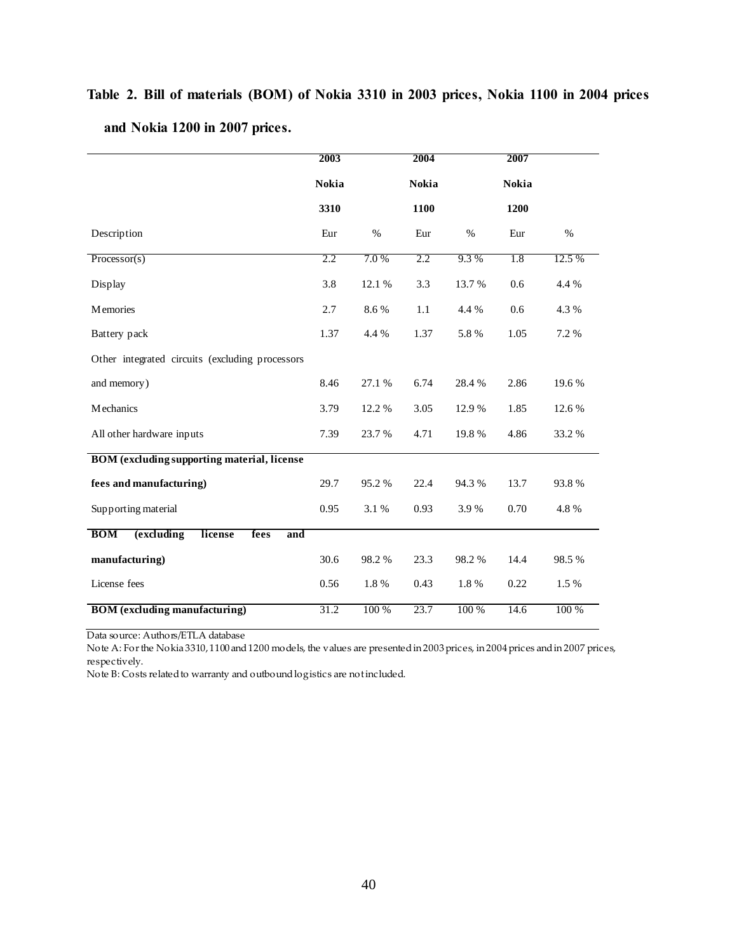# **Table 2. Bill of materials (BOM) of Nokia 3310 in 2003 prices, Nokia 1100 in 2004 prices and Nokia 1200 in 2007 prices.**

|                                                    | 2003         |        | 2004         |        | 2007         |        |
|----------------------------------------------------|--------------|--------|--------------|--------|--------------|--------|
|                                                    | <b>Nokia</b> |        | <b>Nokia</b> |        | <b>Nokia</b> |        |
|                                                    | 3310         |        | 1100         |        | 1200         |        |
| Description                                        | Eur          | $\%$   | Eur          | $\%$   | Eur          | $\%$   |
| Processor(s)                                       | 2.2          | 7.0%   | 2.2          | 9.3%   | 1.8          | 12.5 % |
| Display                                            | 3.8          | 12.1 % | 3.3          | 13.7 % | 0.6          | 4.4 %  |
| <b>Memories</b>                                    | 2.7          | 8.6%   | 1.1          | 4.4 %  | 0.6          | 4.3 %  |
| Battery pack                                       | 1.37         | 4.4 %  | 1.37         | 5.8%   | 1.05         | 7.2 %  |
| Other integrated circuits (excluding processors    |              |        |              |        |              |        |
| and memory)                                        | 8.46         | 27.1 % | 6.74         | 28.4%  | 2.86         | 19.6%  |
| <b>M</b> echanics                                  | 3.79         | 12.2 % | 3.05         | 12.9%  | 1.85         | 12.6 % |
| All other hardware inputs                          | 7.39         | 23.7 % | 4.71         | 19.8%  | 4.86         | 33.2 % |
| <b>BOM</b> (excluding supporting material, license |              |        |              |        |              |        |
| fees and manufacturing)                            | 29.7         | 95.2%  | 22.4         | 94.3%  | 13.7         | 93.8%  |
| Supporting material                                | 0.95         | 3.1%   | 0.93         | 3.9%   | 0.70         | 4.8%   |
| (excluding<br><b>BOM</b><br>license<br>fees<br>and |              |        |              |        |              |        |
| manufacturing)                                     | 30.6         | 98.2%  | 23.3         | 98.2%  | 14.4         | 98.5%  |
| License fees                                       | 0.56         | 1.8%   | 0.43         | 1.8%   | 0.22         | 1.5 %  |
| <b>BOM</b> (excluding manufacturing)               | 31.2         | 100 %  | 23.7         | 100 %  | 14.6         | 100 %  |

Data source: Authors/ETLA database

Note A: For the Nokia 3310, 1100 and 1200 models, the values are presented in 2003 prices, in 2004 prices and in 2007 prices, respectively.

Note B: Costs related to warranty and outbound logistics are not included.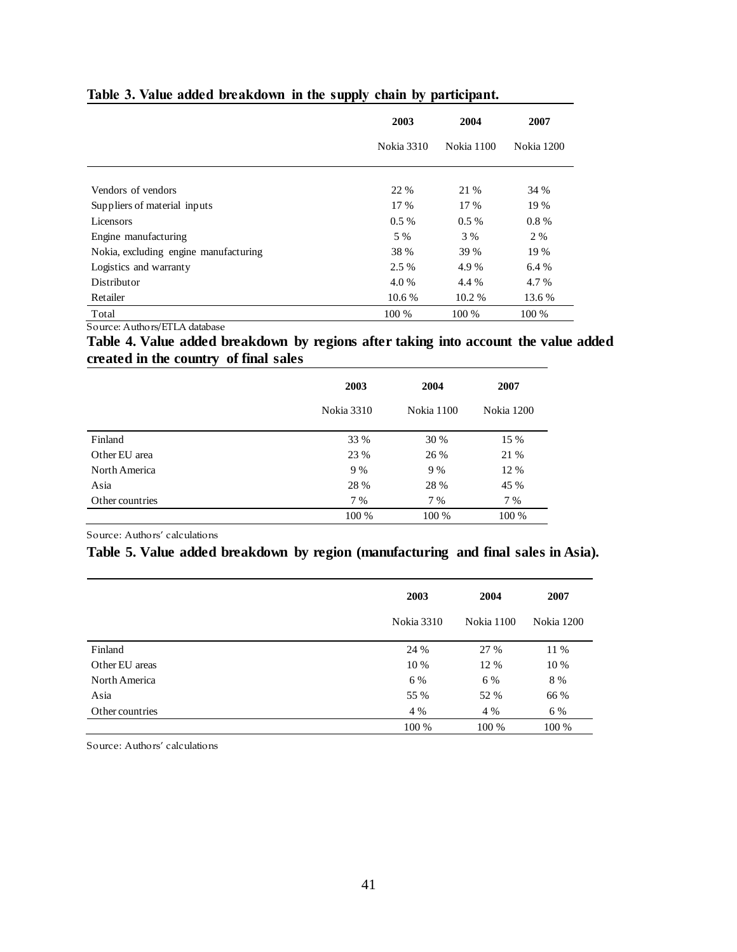|                                       | 2003              | 2004       | 2007       |
|---------------------------------------|-------------------|------------|------------|
|                                       | <b>Nokia 3310</b> | Nokia 1100 | Nokia 1200 |
| Vendors of vendors                    | 22 %              | 21 %       | 34 %       |
| Suppliers of material inputs          | 17 %              | 17 %       | 19 %       |
| Licensors                             | $0.5\%$           | $0.5\%$    | $0.8\%$    |
| Engine manufacturing                  | 5 %               | 3 %        | 2 %        |
| Nokia, excluding engine manufacturing | 38 %              | 39 %       | 19 %       |
| Logistics and warranty                | 2.5 %             | 4.9 %      | 6.4 %      |
| Distributor                           | 4.0 %             | 4.4 %      | 4.7 %      |
| Retailer                              | 10.6 %            | 10.2 %     | 13.6 %     |
| Total                                 | 100 %             | 100 %      | 100 %      |

# **Table 3. Value added breakdown in the supply chain by participant.**

Source: Authors/ETLA database

**Table 4. Value added breakdown by regions after taking into account the value added created in the country of final sales**

|                 | 2003              | 2004       | 2007       |
|-----------------|-------------------|------------|------------|
|                 | <b>Nokia 3310</b> | Nokia 1100 | Nokia 1200 |
| Finland         | 33 %              | 30 %       | 15 %       |
| Other EU area   | 23 %              | 26 %       | 21 %       |
| North America   | 9 %               | 9 %        | 12 %       |
| Asia            | 28 %              | 28 %       | 45 %       |
| Other countries | 7 %               | 7 %        | 7 %        |
|                 | 100 %             | 100 %      | 100 %      |

Source: Authors' calculations

# **Table 5. Value added breakdown by region (manufacturing and final sales in Asia).**

|                 | 2003       | 2004       | 2007       |
|-----------------|------------|------------|------------|
|                 | Nokia 3310 | Nokia 1100 | Nokia 1200 |
| Finland         | 24 %       | 27 %       | 11 %       |
| Other EU areas  | 10 %       | 12 %       | 10 %       |
| North America   | 6 %        | 6 %        | 8 %        |
| Asia            | 55 %       | 52 %       | 66 %       |
| Other countries | 4 %        | 4 %        | 6 %        |
|                 | 100 %      | 100 %      | 100 %      |

Source: Authors' calculations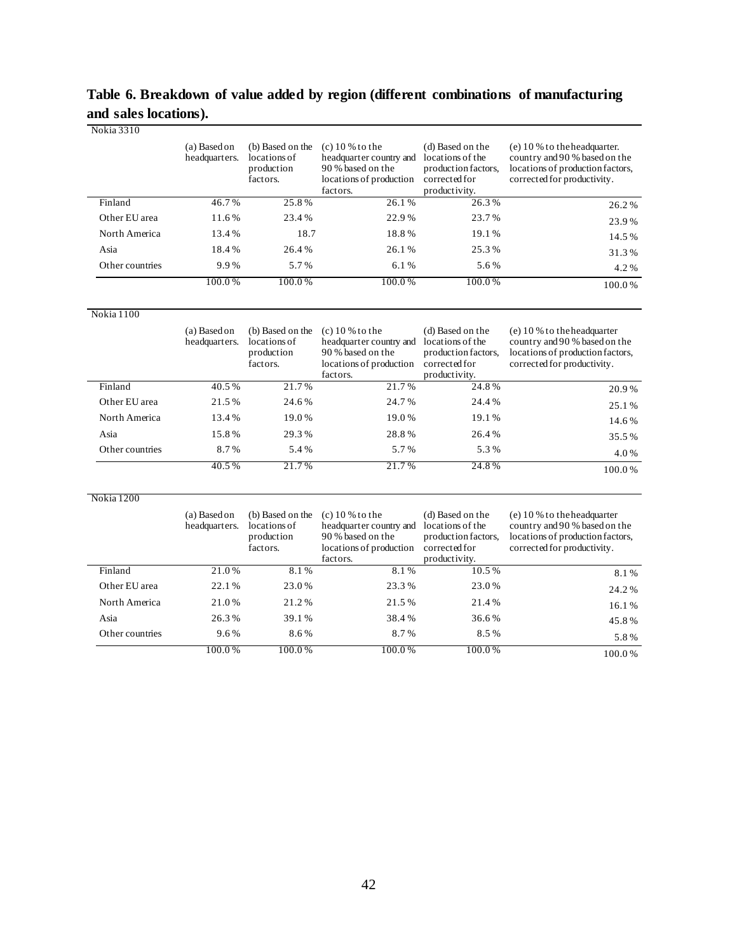# **Table 6. Breakdown of value added by region (different combinations of manufacturing and sales locations).**

| Nokia 3310      |                               |                                                            |                                                                                                                           |                                                                                               |                                                                                                                                    |
|-----------------|-------------------------------|------------------------------------------------------------|---------------------------------------------------------------------------------------------------------------------------|-----------------------------------------------------------------------------------------------|------------------------------------------------------------------------------------------------------------------------------------|
|                 | (a) Based on<br>headquarters. | (b) Based on the<br>locations of<br>production<br>factors. | $(c)$ 10 % to the<br>headquarter country and<br>90 % based on the<br>locations of production<br>factors.                  | (d) Based on the<br>locations of the<br>production factors,<br>corrected for<br>productivity. | $(e)$ 10 % to the headquarter.<br>country and 90 % based on the<br>locations of production factors,<br>corrected for productivity. |
| Finland         | 46.7%                         | 25.8%                                                      | 26.1%                                                                                                                     | 26.3%                                                                                         | 26.2%                                                                                                                              |
| Other EU area   | 11.6%                         | 23.4%                                                      | 22.9%                                                                                                                     | 23.7%                                                                                         | 23.9%                                                                                                                              |
| North America   | 13.4%                         | 18.7                                                       | 18.8%                                                                                                                     | 19.1%                                                                                         | 14.5%                                                                                                                              |
| Asia            | 18.4%                         | 26.4%                                                      | 26.1%                                                                                                                     | 25.3%                                                                                         | 31.3%                                                                                                                              |
| Other countries | 9.9%                          | 5.7%                                                       | 6.1%                                                                                                                      | 5.6%                                                                                          | 4.2%                                                                                                                               |
|                 | 100.0%                        | 100.0%                                                     | 100.0%                                                                                                                    | 100.0%                                                                                        | 100.0%                                                                                                                             |
| Nokia 1100      |                               |                                                            |                                                                                                                           |                                                                                               |                                                                                                                                    |
|                 | (a) Based on<br>headquarters. | (b) Based on the<br>locations of<br>production<br>factors. | $(c)$ 10 % to the<br>headquarter country and locations of the<br>90 % based on the<br>locations of production<br>factors. | (d) Based on the<br>production factors.<br>corrected for<br>productivity.                     | $(e)$ 10 % to the headquarter<br>country and 90 % based on the<br>locations of production factors,<br>corrected for productivity.  |
| Finland         | 40.5%                         | 21.7%                                                      | 21.7%                                                                                                                     | 24.8%                                                                                         | 20.9%                                                                                                                              |
| Other EU area   | 21.5%                         | 24.6%                                                      | 24.7%                                                                                                                     | 24.4%                                                                                         | 25.1%                                                                                                                              |
| North America   | 13.4%                         | 19.0%                                                      | 19.0%                                                                                                                     | 19.1%                                                                                         | 14.6%                                                                                                                              |
| Asia            | 15.8%                         | 29.3%                                                      | 28.8%                                                                                                                     | 26.4%                                                                                         | 35.5%                                                                                                                              |
| Other countries | 8.7%                          | 5.4%                                                       | 5.7%                                                                                                                      | 5.3%                                                                                          | 4.0%                                                                                                                               |
|                 | 40.5%                         | 21.7%                                                      | 21.7%                                                                                                                     | 24.8%                                                                                         | 100.0%                                                                                                                             |
| Nokia 1200      |                               |                                                            |                                                                                                                           |                                                                                               |                                                                                                                                    |
|                 | (a) Based on<br>headquarters. | (b) Based on the<br>locations of<br>production<br>factors. | $(c)$ 10 % to the<br>headquarter country and locations of the<br>90 % based on the<br>locations of production<br>factors. | (d) Based on the<br>production factors,<br>corrected for<br>productivity.                     | (e) 10 % to the headquarter<br>country and 90 % based on the<br>locations of production factors,<br>corrected for productivity.    |
| Finland         | 21.0%                         | 8.1%                                                       | 8.1%                                                                                                                      | 10.5%                                                                                         | 8.1%                                                                                                                               |
| Other EU area   | 22.1%                         | 23.0%                                                      | 23.3%                                                                                                                     | 23.0%                                                                                         | 24.2%                                                                                                                              |
| North America   | 21.0%                         | 21.2%                                                      | 21.5%                                                                                                                     | 21.4%                                                                                         | 16.1%                                                                                                                              |
| Asia            | 26.3%                         | 39.1%                                                      | 38.4%                                                                                                                     | 36.6%                                                                                         | 45.8%                                                                                                                              |
| Other countries | 9.6%                          | 8.6%                                                       | 8.7%                                                                                                                      | 8.5%                                                                                          | 5.8%                                                                                                                               |

100.0 % 100.0 % 100.0 % 100.0 % 100.0 % 100.0 %